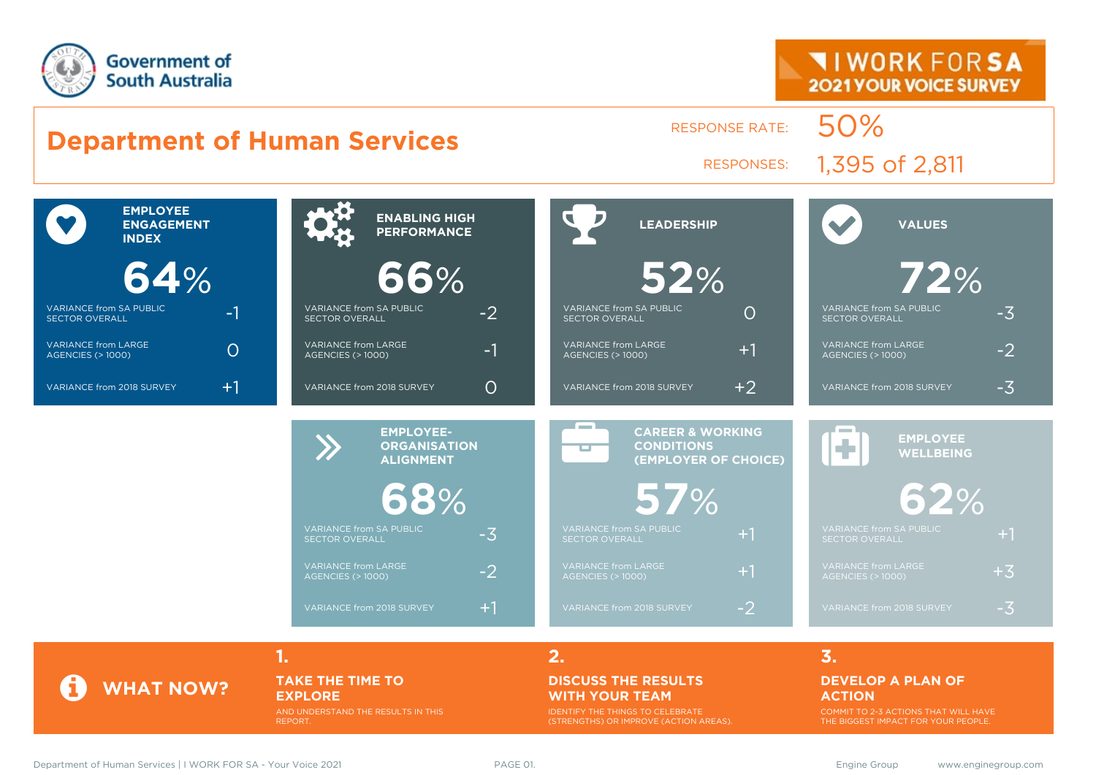

#### **Department of Human Services** RESPONSE RATE: 50% RESPONSES: 1,395 of 2,811  $\bullet$ **EMPLOYEE ENGAGEMENT INDEX 64**% VARIANCE from SA PUBLIC SECTOR OVERALL -1 VARIANCE from LARGE VARIANCE from LARGE<br>AGENCIES (> 1000) VARIANCE from 2018 SURVEY  $+1$ **ENABLING HIGH 66**% VARIANCE from SA PUBLIC VARIANCE from SA PUBLIC<br>SECTOR OVERALL VARIANCE from LARGE VARIANCE from LARGE<br>AGENCIES (> 1000) VARIANCE from 2018 SURVEY  $\bigcap$  **LEADERSHIP 52**% VARIANCE from SA PUBLIC VARIANCE from SA PUBLIC<br>SECTOR OVERALL VARIANCE from LARGE AGENCIES (> 1000) +1 VARIANCE from 2018 SURVEY  $+2$  **VALUES 72**% VARIANCE from SA PUBLIC SECTOR OVERALL -3 VARIANCE from LARGE VARIANCE from LARGE  $-2$ VARIANCE from 2018 SURVEY  $-3$ EMPLOYEE-<br> **CORGANISAT**<br>
ALIGNMENT **ORGANISATION ALIGNMENT 68**% VARIANCE from SA PUBLIC  $-3$ VARIANCE from LARGE VARIANCE from LARGE<br>AGENCIES (> 1000) VARIANCE from 2018 SURVEY  $+1$ æ **CAREER & WORKING CONDITIONS (EMPLOYER OF CHOICE) 57**% VARIANCE from SA PUBLIC SECTOR OVERALL +1 AGENCIES (> 1000) +1 VARIANCE from 2018 SURVEY  $-2$ **EMPLOYEE WELLBEING 62**% VARIANCE from 2018 SURVEY  $-3$

**1. 2. 3.**

#### **TAKE THE TIME TO EXPLORE**

AND UNDERSTAND THE RESULTS IN THIS REPORT.

#### **DISCUSS THE RESULTS WITH YOUR TEAM**

IDENTIFY THE THINGS TO CELEBRATE (STRENGTHS) OR IMPROVE (ACTION AREAS).

#### **DEVELOP A PLAN OF**

#### **ACTION**

COMMIT TO 2-3 ACTIONS THAT WILL HAVE THE BIGGEST IMPACT FOR YOUR PEOPLE.

**WHAT NOW?**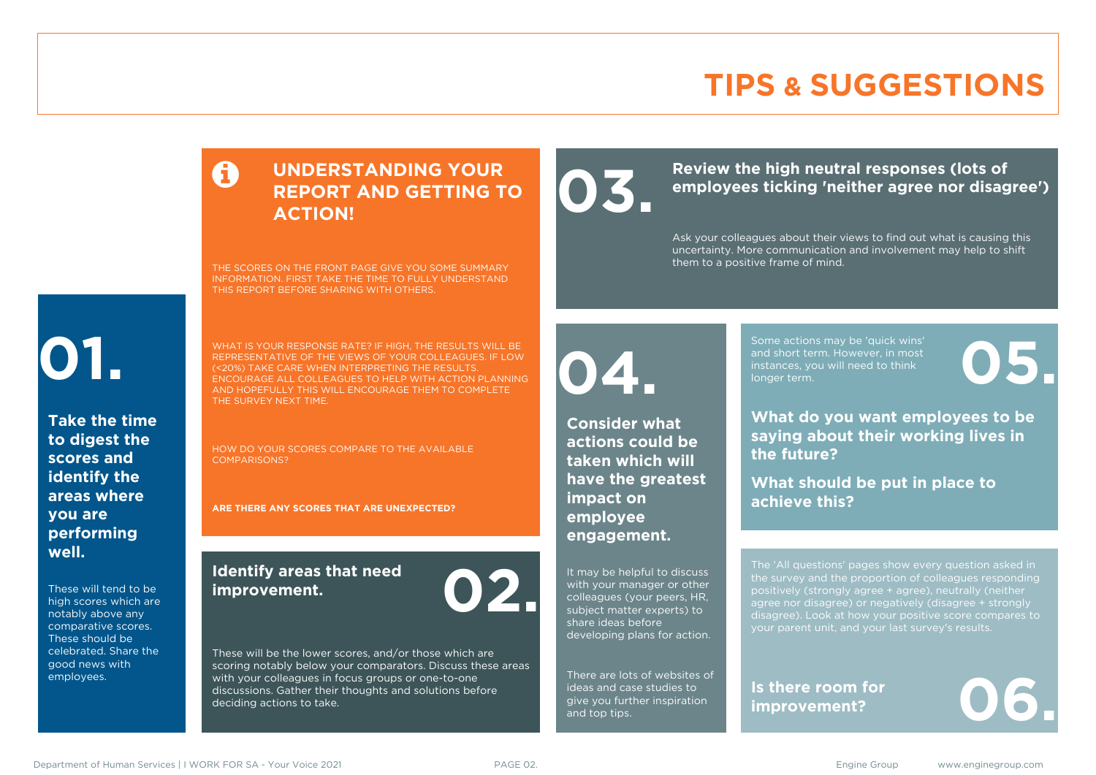### **TIPS & SUGGESTIONS**

#### **UNDERSTANDING YOUR REPORT AND GETTING TO ACTION!**

THE SCORES ON THE FRONT PAGE GIVE YOU SOME SUMMARY INFORMATION. FIRST TAKE THE TIME TO FULLY UNDERSTAND THIS REPORT BEFORE SHARING WITH OTHERS.

# **01.**

**Take the time to digest the scores and identify the areas where you are performing well.**

These will tend to be high scores which are notably above any comparative scores. These should be celebrated. Share the good news with employees.

WHAT IS YOUR RESPONSE RATE? IF HIGH, THE RESULTS WILL BE REPRESENTATIVE OF THE VIEWS OF YOUR COLLEAGUES. IF LOW (<20%) TAKE CARE WHEN INTERPRETING THE RESULTS. ENCOURAGE ALL COLLEAGUES TO HELP WITH ACTION PLANNING AND HOPEFULLY THIS WILL ENCOURAGE THEM TO COMPLETE THE SURVEY NEXT TIME.

HOW DO YOUR SCORES COMPARE TO THE AVAILABLE COMPARISONS?

**ARE THERE ANY SCORES THAT ARE UNEXPECTED?**

#### **Identify areas that need improvement. 02.**

These will be the lower scores, and/or those which are scoring notably below your comparators. Discuss these areas with your colleagues in focus groups or one-to-one discussions. Gather their thoughts and solutions before deciding actions to take.

Review the high neutral responses (lots of employees ticking 'neither agree nor disag **employees ticking 'neither agree nor disagree')**

> Ask your colleagues about their views to find out what is causing this uncertainty. More communication and involvement may help to shift them to a positive frame of mind.

**04.**

**Consider what actions could be taken which will have the greatest impact on employee engagement.**

It may be helpful to discuss with your manager or other colleagues (your peers, HR, subject matter experts) to share ideas before developing plans for action.

There are lots of websites of ideas and case studies to give you further inspiration and top tips.

Some actions may be 'quick wins' and short term. However, in most instances, you will need to think Some actions may be 'quick wins'<br>and short term. However, in most<br>instances, you will need to think<br>longer term.

**What do you want employees to be saying about their working lives in the future?**

**What should be put in place to achieve this?**

The 'All questions' pages show every question asked in positively (strongly agree + agree), neutrally (neither agree nor disagree) or negatively (disagree + strongly disagree). Look at how your positive score compares to your parent unit, and your last survey's results.

**Is there room for**  Is there room for<br>improvement?

Department of Human Services | I WORK FOR SA - Your Voice 2021 **PAGE 02.** PAGE 02. Engine Group www.enginegroup.com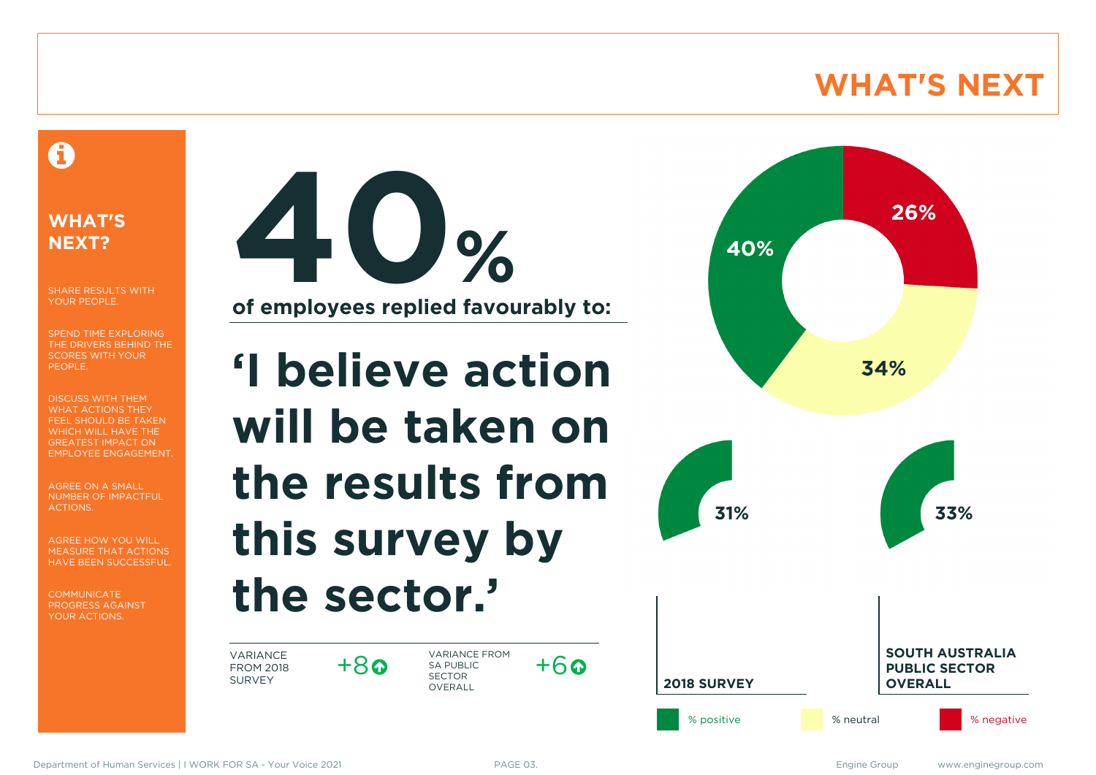### **WHAT'S NEXT**

#### A

#### **WHAT'S NEXT?**

SHARE RESULTS WITH YOUR PEOPLE.

SPEND TIME EXPLORING THE DRIVERS BEHIND THE SCORES WITH YOUR PEOPLE.

DISCUSS WITH THEM WHAT ACTIONS THEY FEEL SHOULD BE TAKEN WHICH WILL HAVE THE GREATEST IMPACT ON EMPLOYEE ENGAGEMENT.

AGREE ON A SMALL NUMBER OF IMPACTFUL ACTIONS.

AGREE HOW YOU WILL MEASURE THAT ACTIONS HAVE BEEN SUCCESSFUL.

**COMMUNICATE** PROGRESS AGAINST YOUR ACTIONS.



# **'I believe action will be taken on the results from this survey by the sector.'**

VARIANCE FROM 2018 SURVEY

 $+8$ 

VARIANCE FROM SA PUBLIC SECTOR **OVERALL** 



 $+6a$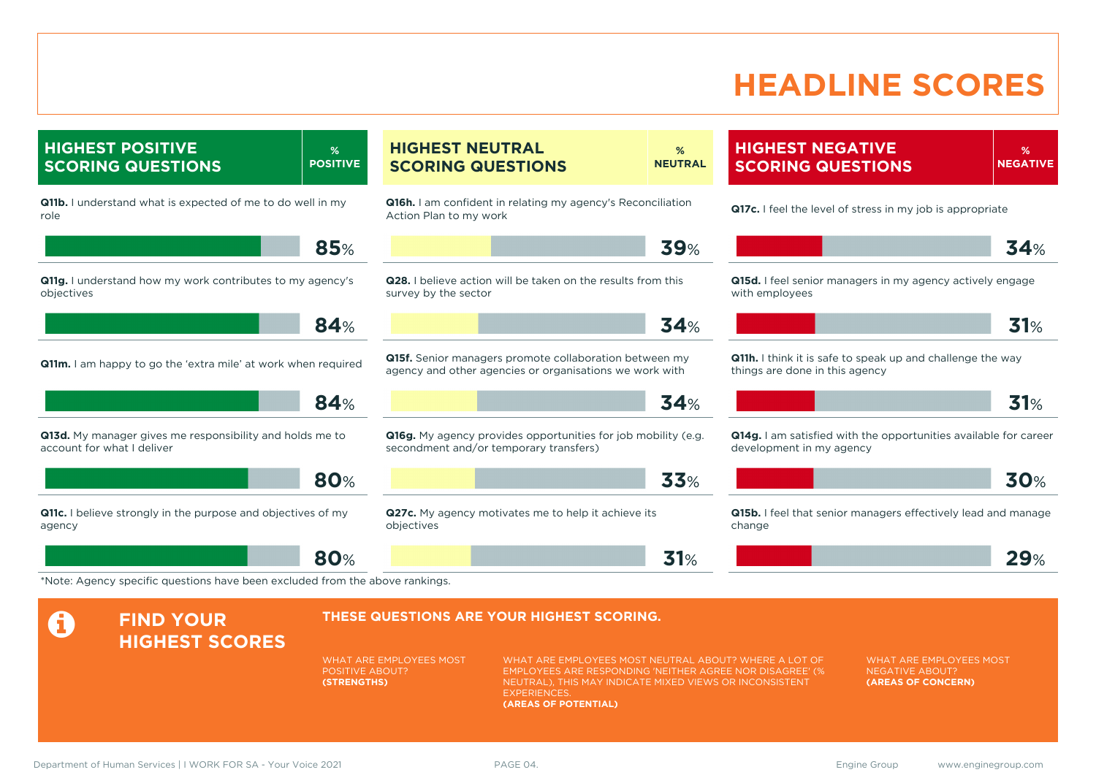### **HEADLINE SCORES**

**% NEGATIVE**

**HIGHEST NEGATIVE SCORING QUESTIONS**

**Q11b.** I understand what is expected of me to do well in my role **85**% **Q11g.** I understand how my work contributes to my agency's objectives **84**% **Q11m.** I am happy to go the 'extra mile' at work when required **84**% **Q13d.** My manager gives me responsibility and holds me to account for what I deliver **80**% **Q11c.** I believe strongly in the purpose and objectives of my agency **80**% **Q16h.** I am confident in relating my agency's Reconciliation Action Plan to my work **39**% **Q28.** I believe action will be taken on the results from this survey by the sector **34**% **Q15f.** Senior managers promote collaboration between my agency and other agencies or organisations we work with **34**% **Q16g.** My agency provides opportunities for job mobility (e.g. secondment and/or temporary transfers) **33**% **Q27c.** My agency motivates me to help it achieve its objectives **31**% **Q17c.** I feel the level of stress in my job is appropriate **34**% **Q15d.** I feel senior managers in my agency actively engage with employees **31**% **Q11h.** I think it is safe to speak up and challenge the way things are done in this agency **31**% **Q14g.** I am satisfied with the opportunities available for career development in my agency **30**% **Q15b.** I feel that senior managers effectively lead and manage change **29**% \*Note: Agency specific questions have been excluded from the above rankings. **A** FIND YOUR **HIGHEST SCORES THESE QUESTIONS ARE YOUR HIGHEST SCORING.** WHAT ARE EMPLOYEES MOST POSITIVE ABOUT? **(STRENGTHS)** WHAT ARE EMPLOYEES MOST NEUTRAL ABOUT? WHERE A LOT OF EMPLOYEES ARE RESPONDING 'NEITHER AGREE NOR DISAGREE' (% NEUTRAL), THIS MAY INDICATE MIXED VIEWS OR INCONSISTENT **EXPERIENCES (AREAS OF POTENTIAL)** WHAT ARE EMPLOYEES MOST NEGATIVE ABOUT? **(AREAS OF CONCERN)**

**% NEUTRAL**

**HIGHEST POSITIVE SCORING QUESTIONS**

**% POSITIVE** **HIGHEST NEUTRAL SCORING QUESTIONS**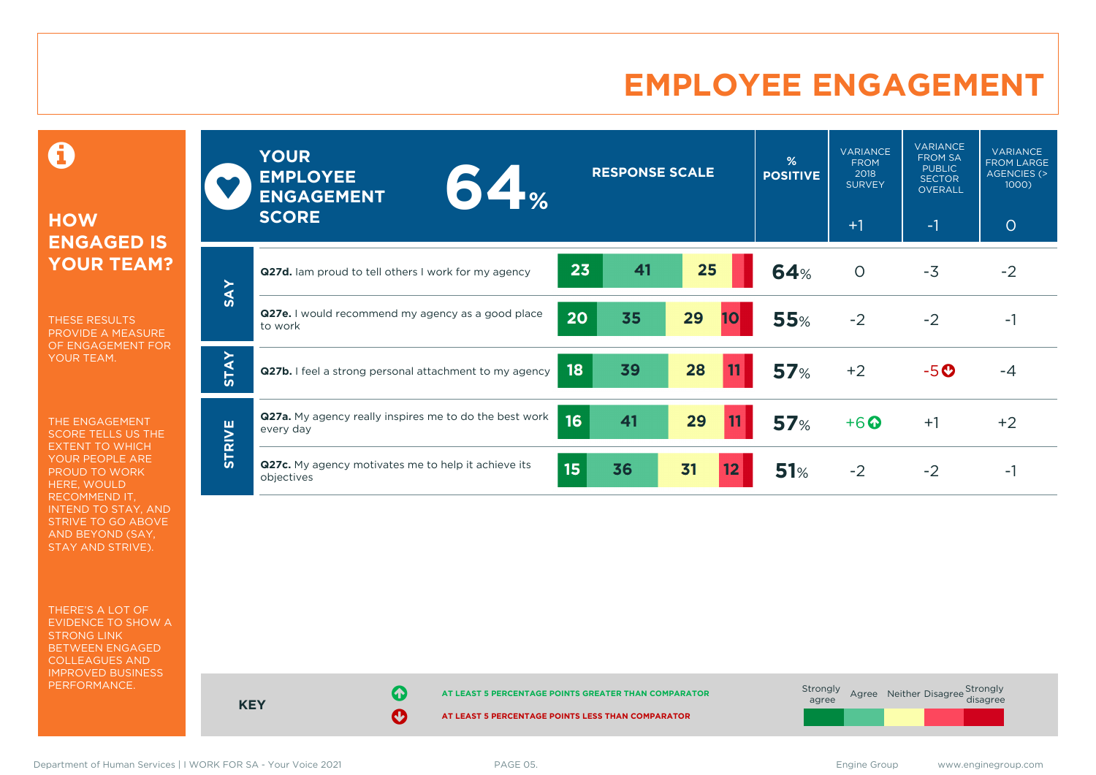### **EMPLOYEE ENGAGEMENT**

0

#### **HOW ENGAGED IS YOUR TEAM?**

THESE RESULTS PROVIDE A MEASURE OF ENGAGEMENT FOR YOUR TEAM.

THE ENGAGEMENT SCORE TELLS US THE EXTENT TO WHICH YOUR PEOPLE ARE PROUD TO WORK HERE, WOULD RECOMMEND IT, INTEND TO STAY, AND STRIVE TO GO ABOVE AND BEYOND (SAY, STAY AND STRIVE).

THERE'S A LOT OF EVIDENCE TO SHOW A STRONG LINK BETWEEN ENGAGED COLLEAGUES AND IMPROVED BUSINESS PERFORMANCE.

|               | <b>YOUR</b><br><b>EMPLOYEE</b><br><b>64</b><br><b>ENGAGEMENT</b><br><b>SCORE</b>      | <b>RESPONSE SCALE</b> |                 | %<br><b>POSITIVE</b> | <b>VARIANCE</b><br><b>FROM</b><br>2018<br><b>SURVEY</b><br>$+1$ | <b>VARIANCE</b><br><b>FROM SA</b><br><b>PUBLIC</b><br><b>SECTOR</b><br><b>OVERALL</b><br>$-1$ | <b>VARIANCE</b><br><b>FROM LARGE</b><br>AGENCIES (><br>1000<br>$\circ$ |
|---------------|---------------------------------------------------------------------------------------|-----------------------|-----------------|----------------------|-----------------------------------------------------------------|-----------------------------------------------------------------------------------------------|------------------------------------------------------------------------|
|               | Q27d. Iam proud to tell others I work for my agency                                   | 23<br>41              | 25              | <b>64%</b>           | $\circ$                                                         | $-3$                                                                                          | $-2$                                                                   |
| <b>SAY</b>    | Q27e. I would recommend my agency as a good place<br>20<br>to work                    | 35                    | 29<br><b>10</b> | <b>55%</b>           | $-2$                                                            | $-2$                                                                                          | $-1$                                                                   |
| <b>STAY</b>   | 18<br>Q27b. I feel a strong personal attachment to my agency                          | 39                    | 28<br>11        | 57%                  | $+2$                                                            | $-5o$                                                                                         | -4                                                                     |
|               | Q27a. My agency really inspires me to do the best work<br>16<br>every day             | 41                    | 29<br>11        | <b>57%</b>           | $+6$ <sup><math>\odot</math></sup>                              | $+1$                                                                                          | $+2$                                                                   |
| <b>STRIVE</b> | Q27c. My agency motivates me to help it achieve its<br>15 <sub>15</sub><br>objectives | 36                    | 31<br>12        | 51%                  | $-2$                                                            | $-2$                                                                                          | $-1$                                                                   |

**KEY AT LEAST 5 PERCENTAGE POINTS GREATER THAN COMPARATOR AT LEAST 5 PERCENTAGE POINTS LESS THAN COMPARATOR** Strongly agree Agree Neither Disagree Strongly<br>disagree

Department of Human Services | I WORK FOR SA - Your Voice 2021 PAGE 05. Engine Group www.enginegroup.com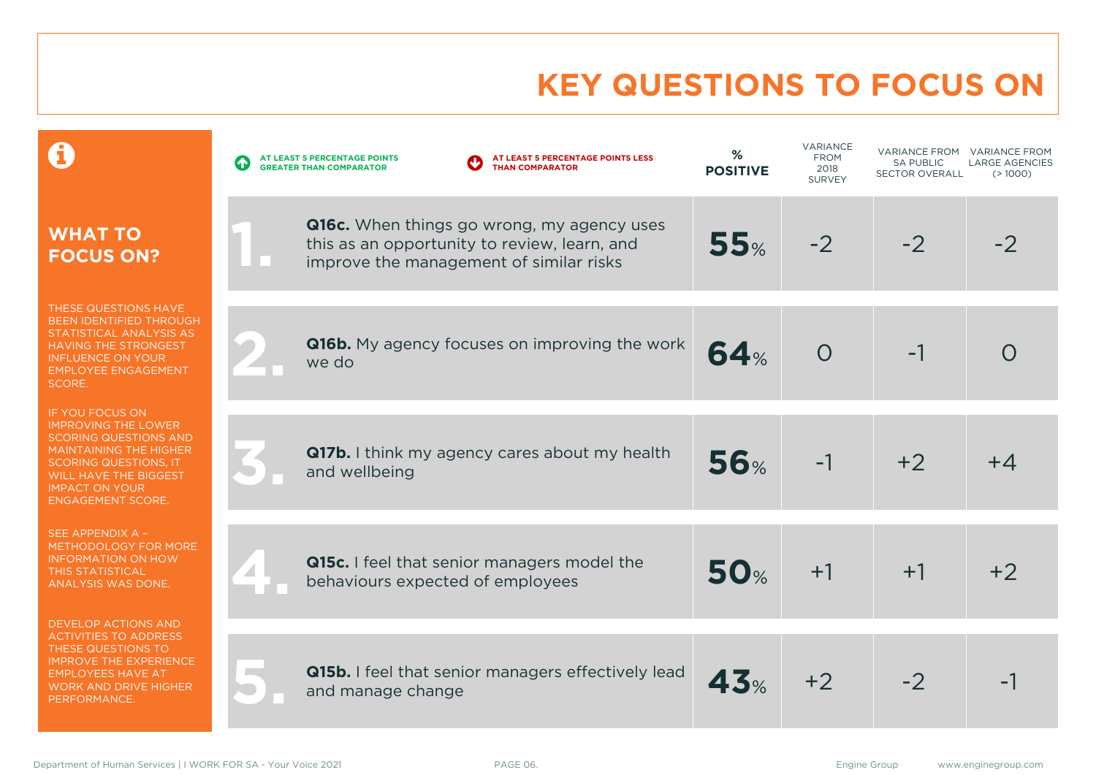# **KEY QUESTIONS TO FOCUS ON**

|                                                                                                                                                                                                                                            | AT LEAST 5 PERCENTAGE POINTS LESS<br>AT LEAST 5 PERCENTAGE POINTS<br><b>GREATER THAN COMPARATOR</b><br><b>THAN COMPARATOR</b>                | %<br><b>POSITIVE</b> | VARIANCE<br><b>FROM</b><br>2018<br><b>SURVEY</b> | VARIANCE FROM<br><b>SA PUBLIC</b><br><b>SECTOR OVERALL</b> | <b>VARIANCE FROM</b><br><b>LARGE AGENCIES</b><br>(>1000) |
|--------------------------------------------------------------------------------------------------------------------------------------------------------------------------------------------------------------------------------------------|----------------------------------------------------------------------------------------------------------------------------------------------|----------------------|--------------------------------------------------|------------------------------------------------------------|----------------------------------------------------------|
| <b>WHAT TO</b><br><b>FOCUS ON?</b>                                                                                                                                                                                                         | <b>Q16c.</b> When things go wrong, my agency uses<br>this as an opportunity to review, learn, and<br>improve the management of similar risks | 55%                  | $-2$                                             | $-2$                                                       | -2                                                       |
| THESE QUESTIONS HAVE<br>BEEN IDENTIFIED THROUGH<br>STATISTICAL ANALYSIS AS<br><b>HAVING THE STRONGEST</b><br><b>INFLUENCE ON YOUR</b><br><b>EMPLOYEE ENGAGEMENT</b><br>SCORE.                                                              | Q16b. My agency focuses on improving the work<br>we do                                                                                       | 64%                  | $\overline{O}$                                   | -1                                                         |                                                          |
| <b>IF YOU FOCUS ON</b><br><b>IMPROVING THE LOWER</b><br><b>SCORING QUESTIONS AND</b><br><b>MAINTAINING THE HIGHER</b><br><b>SCORING QUESTIONS, IT</b><br><b>WILL HAVE THE BIGGEST</b><br><b>IMPACT ON YOUR</b><br><b>ENGAGEMENT SCORE.</b> | <b>Q17b.</b> I think my agency cares about my health<br>and wellbeing                                                                        | 56%                  | $-1$                                             | $+2$                                                       | $+4$                                                     |
| SEE APPENDIX A -<br>METHODOLOGY FOR MORE<br><b>INFORMATION ON HOW</b><br><b>THIS STATISTICAL</b><br>ANALYSIS WAS DONE.                                                                                                                     | Q15c. I feel that senior managers model the<br>behaviours expected of employees                                                              | <b>50%</b>           | $+1$                                             | $+1$                                                       | $+2$                                                     |
| <b>DEVELOP ACTIONS AND</b><br><b>ACTIVITIES TO ADDRESS</b><br>THESE QUESTIONS TO<br><b>IMPROVE THE EXPERIENCE</b><br><b>EMPLOYEES HAVE AT</b><br><b>WORK AND DRIVE HIGHER</b><br>PERFORMANCE.                                              | Q15b. I feel that senior managers effectively lead<br>and manage change                                                                      | 43%                  | $+2$                                             | $-2$                                                       |                                                          |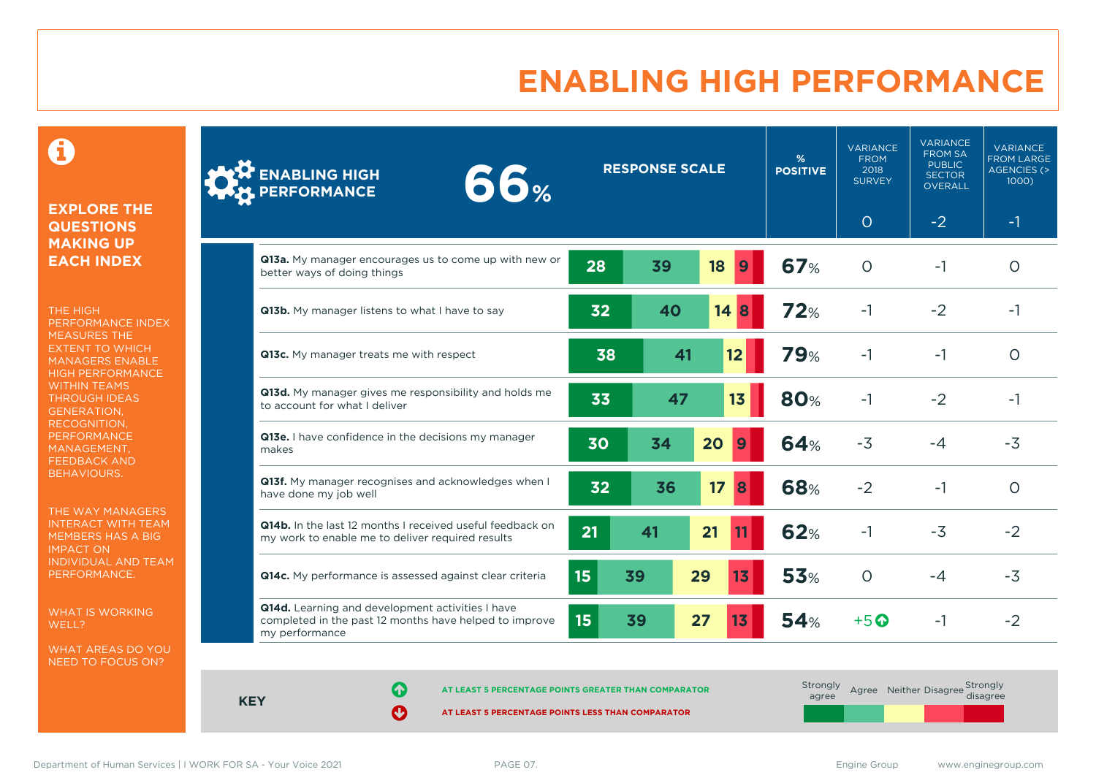### **ENABLING HIGH PERFORMANCE**

 $\mathbf \Theta$ 

#### **EXPLORE THE QUESTIONS MAKING UP EACH INDEX**

THE HIGH PERFORMANCE INDEX MEASURES THE EXTENT TO WHICH MANAGERS ENABLE HIGH PERFORMANCE WITHIN TEAMS THROUGH IDEAS GENERATION, RECOGNITION, **PERFORMANCE** MANAGEMENT, FEEDBACK AND BEHAVIOURS.

THE WAY MANAGERS INTERACT WITH TEAM MEMBERS HAS A BIG IMPACT ON INDIVIDUAL AND TEAM PERFORMANCE.

WHAT IS WORKING WELL?

WHAT AREAS DO YOU NEED TO FOCUS ON?

| <b>ENABLING HIGH</b><br>66%<br>PERFORMANCE                                                                                   |                  | <b>RESPONSE SCALE</b><br><b>POSITIVE</b> |                       |                  |            | <b>VARIANCE</b><br><b>FROM</b><br>2018<br><b>SURVEY</b> | <b>VARIANCE</b><br><b>FROM SA</b><br><b>PUBLIC</b><br><b>SECTOR</b><br>OVERALL | <b>VARIANCE</b><br><b>FROM LARGE</b><br><b>AGENCIES (&gt;</b><br>$1000$ ) |
|------------------------------------------------------------------------------------------------------------------------------|------------------|------------------------------------------|-----------------------|------------------|------------|---------------------------------------------------------|--------------------------------------------------------------------------------|---------------------------------------------------------------------------|
|                                                                                                                              |                  |                                          |                       |                  |            | $\circ$                                                 | $-2$                                                                           | $-1$                                                                      |
| Q13a. My manager encourages us to come up with new or<br>better ways of doing things                                         | 28               | 39                                       | 18                    | $\boldsymbol{9}$ | <b>67%</b> | $\Omega$                                                | $-1$                                                                           | $\Omega$                                                                  |
| Q13b. My manager listens to what I have to say                                                                               | 32               | 40                                       | 14                    | 8                | 72%        | $-1$                                                    | $-2$                                                                           | $-1$                                                                      |
| Q13c. My manager treats me with respect                                                                                      | 38               |                                          | 41<br>12              |                  | <b>79%</b> | $-1$                                                    | $-1$                                                                           | $\circ$                                                                   |
| Q13d. My manager gives me responsibility and holds me<br>to account for what I deliver                                       | 33               | 47                                       | 13                    |                  | <b>80%</b> | $-1$                                                    | $-2$                                                                           | $-1$                                                                      |
| Q13e. I have confidence in the decisions my manager<br>makes                                                                 | 30               | 34                                       | 20<br><b>9</b>        |                  | <b>64%</b> | $-3$                                                    | $-4$                                                                           | $-3$                                                                      |
| Q13f. My manager recognises and acknowledges when I<br>have done my job well                                                 | 32               | 36                                       | 17<br>8               |                  | <b>68%</b> | $-2$                                                    | $-1$                                                                           | $\Omega$                                                                  |
| Q14b. In the last 12 months I received useful feedback on<br>my work to enable me to deliver required results                | 21               | 41                                       | 21<br>11              |                  | <b>62%</b> | $-1$                                                    | $-3$                                                                           | $-2$                                                                      |
| Q14c. My performance is assessed against clear criteria                                                                      | 15 <sub>15</sub> | 39                                       | 29<br>13 <sub>1</sub> |                  | <b>53%</b> | $\circ$                                                 | $-4$                                                                           | $-3$                                                                      |
| Q14d. Learning and development activities I have<br>completed in the past 12 months have helped to improve<br>my performance | 15               | 39                                       | 27<br>13              |                  | 54%        | $+5$ <sup><math>\odot</math></sup>                      | $-1$                                                                           | $-2$                                                                      |

**KEY**

**AT LEAST 5 PERCENTAGE POINTS GREATER THAN COMPARATOR** 

| Strongly<br>agree |  | Agree Neither Disagree Strongly<br>disagree |
|-------------------|--|---------------------------------------------|
|                   |  |                                             |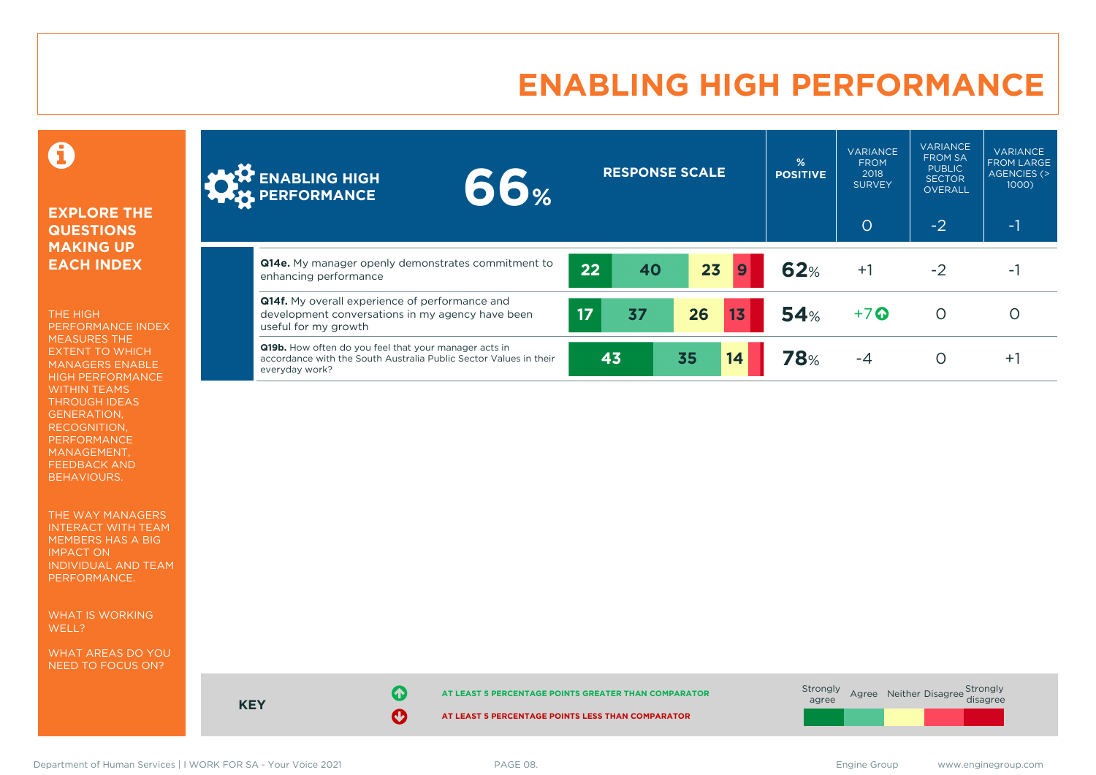### **ENABLING HIGH PERFORMANCE**

#### 0

#### **EXPLORE THE QUESTIONS MAKING UP EACH INDEX**

THE HIGH PERFORMANCE INDEX MEASURES THE EXTENT TO WHICH MANAGERS ENABLE HIGH PERFORMANCE WITHIN TEAMS THROUGH IDEAS GENERATION, RECOGNITION, PERFORMANCE MANAGEMENT, FEEDBACK AND BEHAVIOURS.

THE WAY MANAGERS INTERACT WITH TEAM MEMBERS HAS A BIG IMPACT ON INDIVIDUAL AND TEAM PERFORMANCE.

WHAT IS WORKING WELL?

WHAT AREAS DO YOU NEED TO FOCUS ON?

| <b>ONE A ENABLING HIGH</b><br><b>WERE PERFORMANCE</b>                                                                                               | <b>66%</b> |                 | <b>RESPONSE SCALE</b> |    |    | %<br><b>POSITIVE</b> | <b>VARIANCE</b><br><b>FROM</b><br>2018<br><b>SURVEY</b><br>$\circ$ | <b>VARIANCE</b><br><b>FROM SA</b><br><b>PUBLIC</b><br><b>SECTOR</b><br><b>OVERALL</b><br>$-2$ | <b>VARIANCE</b><br><b>FROM LARGE</b><br><b>AGENCIES (&gt;</b><br>1000<br>$-1$ |
|-----------------------------------------------------------------------------------------------------------------------------------------------------|------------|-----------------|-----------------------|----|----|----------------------|--------------------------------------------------------------------|-----------------------------------------------------------------------------------------------|-------------------------------------------------------------------------------|
|                                                                                                                                                     |            |                 |                       |    |    |                      |                                                                    |                                                                                               |                                                                               |
| Q14e. My manager openly demonstrates commitment to<br>enhancing performance                                                                         |            | 22              | 40                    | 23 | 9  | 62%                  | $+1$                                                               | $-2$                                                                                          | ۰.                                                                            |
| <b>Q14f.</b> My overall experience of performance and<br>development conversations in my agency have been<br>useful for my growth                   |            | 17 <sub>l</sub> | 37                    | 26 | 13 | 54%                  | $+7$ $\odot$                                                       |                                                                                               |                                                                               |
| <b>Q19b.</b> How often do you feel that your manager acts in<br>accordance with the South Australia Public Sector Values in their<br>everyday work? |            | 43              |                       | 35 | 14 | <b>78%</b>           | $-4$                                                               |                                                                                               | Ŧ.                                                                            |



**KEY**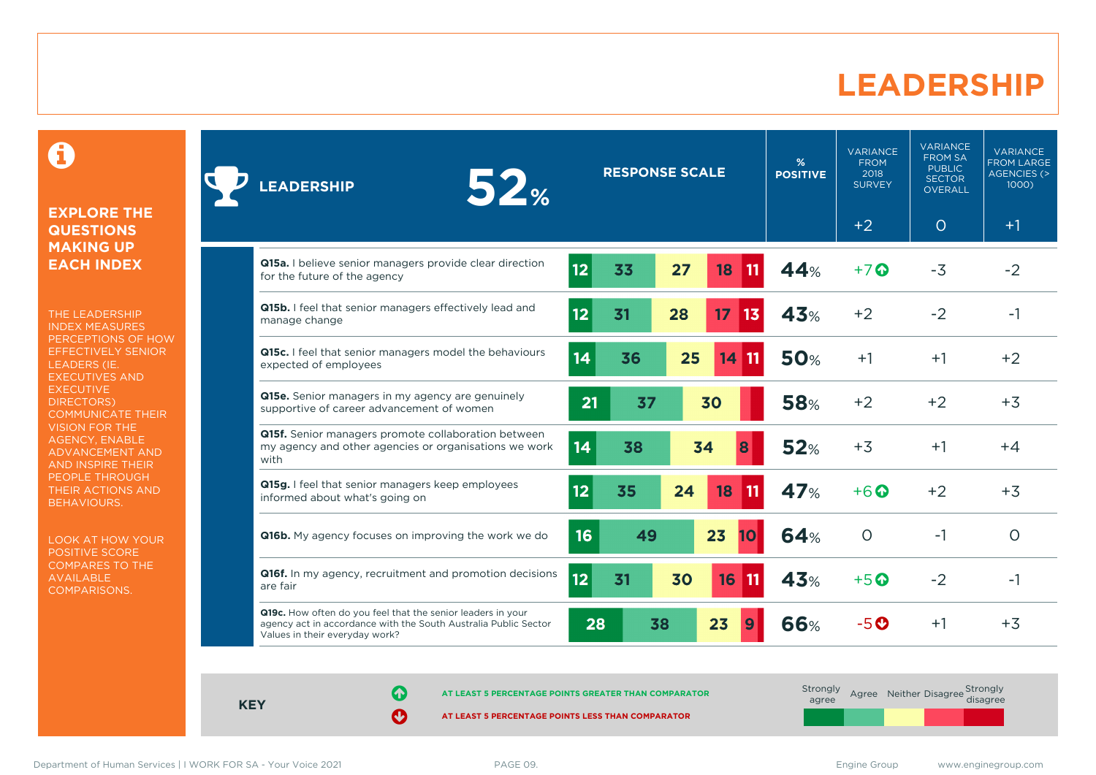#### **LEADERSHIP**

0

#### **EXPLORE THE QUESTIONS MAKING UP EACH INDEX**

THE LEADERSHIP INDEX MEASURES PERCEPTIONS OF HOW EFFECTIVELY SENIOR LEADERS (IE. EXECUTIVES AND **EXECUTIVE** DIRECTORS) COMMUNICATE THEIR VISION FOR THE AGENCY, ENABLE ADVANCEMENT AND AND INSPIRE THEIR PEOPLE THROUGH THEIR ACTIONS AND BEHAVIOURS.

LOOK AT HOW YOUR POSITIVE SCORE COMPARES TO THE AVAILABLE COMPARISONS.

| 52 <sub>%</sub><br><b>LEADERSHIP</b>                                                                                                                             |    | <b>RESPONSE SCALE</b> |    |          | %<br><b>POSITIVE</b> | <b>VARIANCE</b><br><b>FROM</b><br>2018<br><b>SURVEY</b> | <b>VARIANCE</b><br><b>FROM SA</b><br><b>PUBLIC</b><br><b>SECTOR</b><br><b>OVERALL</b> | <b>VARIANCE</b><br><b>FROM LARGE</b><br><b>AGENCIES (&gt;</b><br>1000) |
|------------------------------------------------------------------------------------------------------------------------------------------------------------------|----|-----------------------|----|----------|----------------------|---------------------------------------------------------|---------------------------------------------------------------------------------------|------------------------------------------------------------------------|
|                                                                                                                                                                  |    |                       |    |          |                      | $+2$                                                    | $\circ$                                                                               | $+1$                                                                   |
| Q15a. I believe senior managers provide clear direction<br>for the future of the agency                                                                          | 12 | 33                    | 27 | 18<br>11 | 44%                  | $+7$ $\odot$                                            | $-3$                                                                                  | $-2$                                                                   |
| Q15b. I feel that senior managers effectively lead and<br>manage change                                                                                          | 12 | 31                    | 28 | 13<br>17 | 43%                  | $+2$                                                    | $-2$                                                                                  | $-1$                                                                   |
| Q15c. I feel that senior managers model the behaviours<br>expected of employees                                                                                  | 14 | 36                    | 25 | 14       | <b>50%</b>           | $+1$                                                    | $+1$                                                                                  | $+2$                                                                   |
| <b>Q15e.</b> Senior managers in my agency are genuinely<br>supportive of career advancement of women                                                             | 21 | 37                    |    | 30       | <b>58%</b>           | $+2$                                                    | $+2$                                                                                  | $+3$                                                                   |
| Q15f. Senior managers promote collaboration between<br>my agency and other agencies or organisations we work<br>with                                             | 14 | 38                    |    | 34<br>8  | <b>52%</b>           | $+3$                                                    | $+1$                                                                                  | $+4$                                                                   |
| Q15g. I feel that senior managers keep employees<br>informed about what's going on                                                                               | 12 | 35                    | 24 | 18<br>11 | 47%                  | $+6$ $\odot$                                            | $+2$                                                                                  | $+3$                                                                   |
| <b>Q16b.</b> My agency focuses on improving the work we do                                                                                                       | 16 | 49                    |    | 23<br>10 | <b>64%</b>           | $\circ$                                                 | $-1$                                                                                  | $\Omega$                                                               |
| Q16f. In my agency, recruitment and promotion decisions<br>are fair                                                                                              | 12 | 31                    | 30 | 16       | <b>43%</b>           | $+5$ $\odot$                                            | $-2$                                                                                  | -1                                                                     |
| Q19c. How often do you feel that the senior leaders in your<br>agency act in accordance with the South Australia Public Sector<br>Values in their everyday work? | 28 | 38                    |    | 23       | <b>66%</b>           | $-5o$                                                   | $+1$                                                                                  | $+3$                                                                   |

**KEY**

**AT LEAST 5 PERCENTAGE POINTS GREATER THAN COMPARATOR**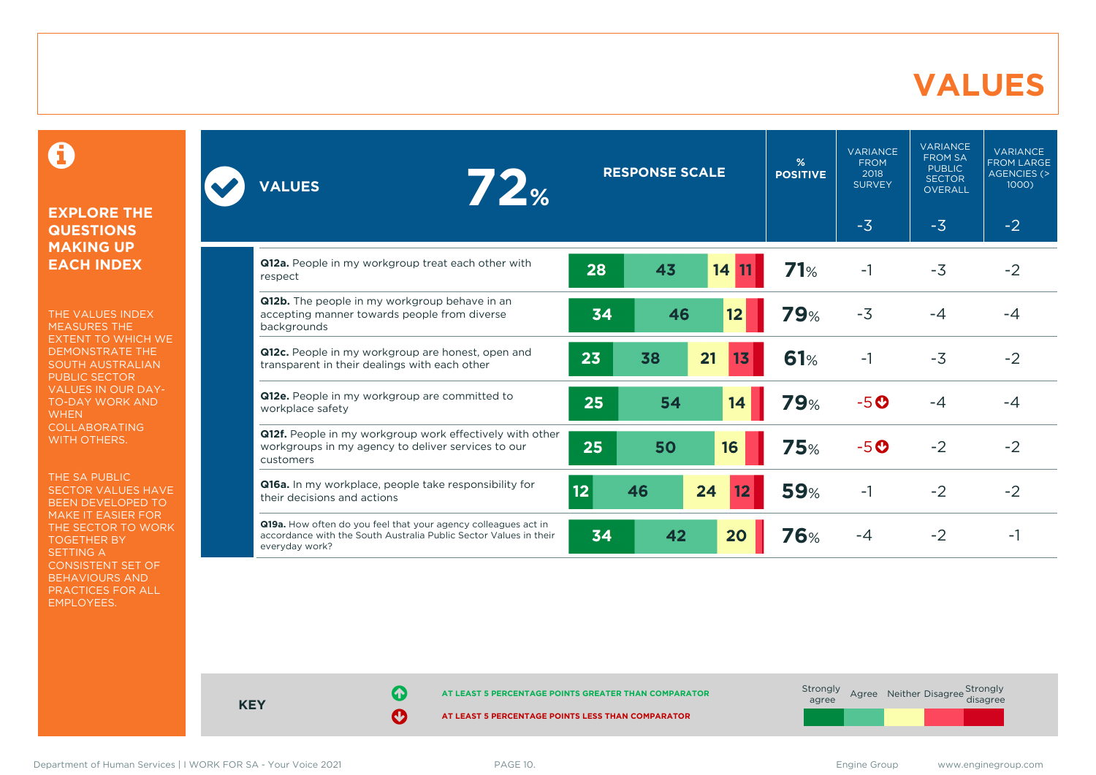#### **VALUES**

#### 0

#### **EXPLORE THE QUESTIONS MAKING UP EACH INDEX**

THE VALUES INDEX MEASURES THE EXTENT TO WHICH WE DEMONSTRATE THE SOUTH AUSTRALIAN PUBLIC SECTOR VALUES IN OUR DAY-TO-DAY WORK AND **WHEN** COLLABORATING WITH OTHERS.

THE SA PUBLIC SECTOR VALUES HAVE BEEN DEVELOPED TO MAKE IT EASIER FOR THE SECTOR TO WORK TOGETHER BY SETTING A CONSISTENT SET OF BEHAVIOURS AND PRACTICES FOR ALL EMPLOYEES.

| 72 <sub><br/><b>VALUES</b></sub>                                                                                                                      |    | <b>RESPONSE SCALE</b> |          | %<br><b>POSITIVE</b> | <b>VARIANCE</b><br><b>FROM</b><br>2018<br><b>SURVEY</b> | <b>VARIANCE</b><br><b>FROM SA</b><br><b>PUBLIC</b><br><b>SECTOR</b><br><b>OVERALL</b> | <b>VARIANCE</b><br><b>FROM LARGE</b><br>AGENCIES (><br>1000 |
|-------------------------------------------------------------------------------------------------------------------------------------------------------|----|-----------------------|----------|----------------------|---------------------------------------------------------|---------------------------------------------------------------------------------------|-------------------------------------------------------------|
|                                                                                                                                                       |    |                       |          |                      | $-3$                                                    | $-3$                                                                                  | $-2$                                                        |
| Q12a. People in my workgroup treat each other with<br>respect                                                                                         | 28 | 43                    | 14<br>11 | 71%                  | $-1$                                                    | $-3$                                                                                  | $-2$                                                        |
| Q12b. The people in my workgroup behave in an<br>accepting manner towards people from diverse<br>backgrounds                                          | 34 | 46                    | 12       | <b>79%</b>           | $-3$                                                    | -4                                                                                    | $-4$                                                        |
| Q12c. People in my workgroup are honest, open and<br>transparent in their dealings with each other                                                    | 23 | 38                    | 21<br>13 | 61%                  | $-1$                                                    | $-3$                                                                                  | $-2$                                                        |
| Q12e. People in my workgroup are committed to<br>workplace safety                                                                                     | 25 | 54                    | 14       | <b>79%</b>           | $-5o$                                                   | -4                                                                                    | -4                                                          |
| Q12f. People in my workgroup work effectively with other<br>workgroups in my agency to deliver services to our<br>customers                           | 25 | 50                    | 16       | <b>75%</b>           | $-5o$                                                   | $-2$                                                                                  | $-2$                                                        |
| Q16a. In my workplace, people take responsibility for<br>their decisions and actions                                                                  | 12 | 46                    | 24<br>12 | <b>59%</b>           | $-1$                                                    | $-2$                                                                                  | $-2$                                                        |
| Q19a. How often do you feel that your agency colleagues act in<br>accordance with the South Australia Public Sector Values in their<br>everyday work? | 34 | 42                    | 20       | 76%                  | $-4$                                                    | $-2$                                                                                  | $-1$                                                        |



**KEY**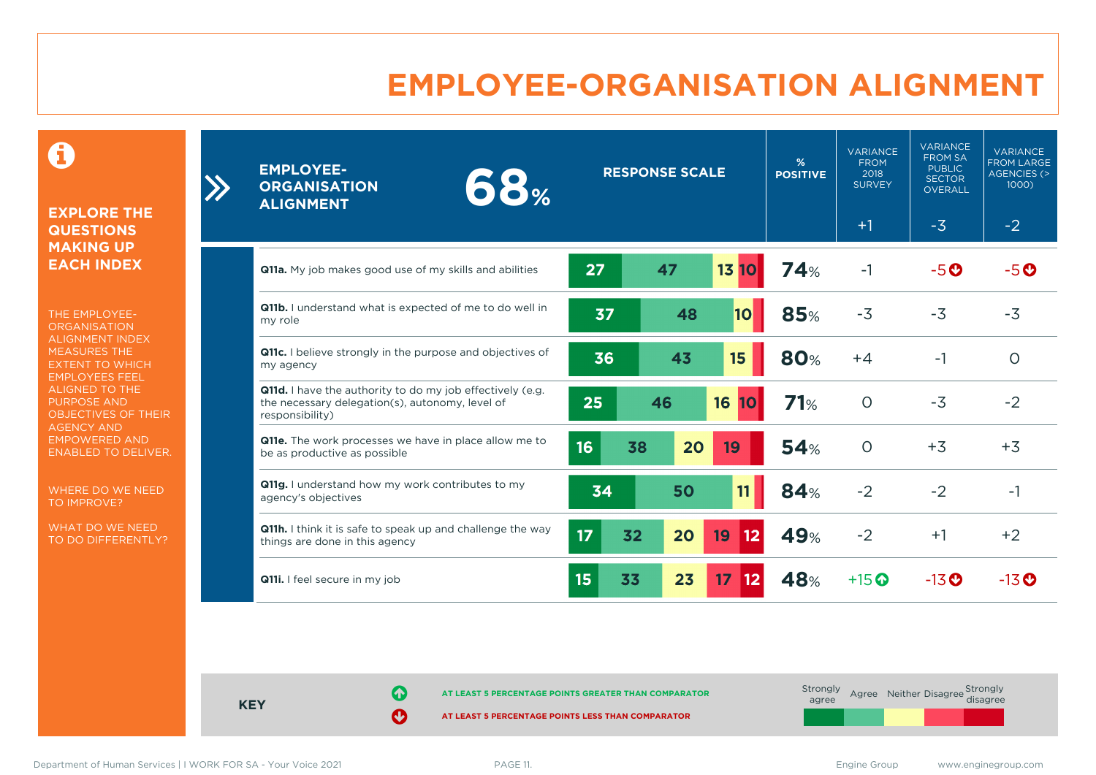### **EMPLOYEE-ORGANISATION ALIGNMENT**

0

**EXPLORE THE QUESTIONS MAKING UP EACH INDEX**

 $\sum$ 

THE EMPLOYEE-**ORGANISATION** ALIGNMENT INDEX MEASURES THE EXTENT TO WHICH EMPLOYEES FEEL ALIGNED TO THE PURPOSE AND OBJECTIVES OF THEIR AGENCY AND EMPOWERED AND ENABLED TO DELIVER.

WHERE DO WE NEED TO IMPROVE?

WHAT DO WE NEED TO DO DIFFERENTLY?

| <b>EMPLOYEE-</b><br>68%<br><b>ORGANISATION</b><br><b>ALIGNMENT</b>                                                                     | <b>RESPONSE SCALE</b> |    | %<br><b>POSITIVE</b> | <b>VARIANCE</b><br><b>FROM</b><br>2018<br><b>SURVEY</b> | <b>VARIANCE</b><br><b>FROM SA</b><br><b>PUBLIC</b><br><b>SECTOR</b><br><b>OVERALL</b> | <b>VARIANCE</b><br><b>FROM LARGE</b><br><b>AGENCIES (&gt;</b><br>1000) |                    |                    |
|----------------------------------------------------------------------------------------------------------------------------------------|-----------------------|----|----------------------|---------------------------------------------------------|---------------------------------------------------------------------------------------|------------------------------------------------------------------------|--------------------|--------------------|
|                                                                                                                                        |                       |    |                      |                                                         |                                                                                       | $+1$                                                                   | $-3$               | $-2$               |
| <b>Q11a.</b> My job makes good use of my skills and abilities                                                                          | 27                    | 47 |                      | 13 10                                                   | 74%                                                                                   | $-1$                                                                   | $-5O$              | $-5o$              |
| Q11b. I understand what is expected of me to do well in<br>my role                                                                     | 37                    |    | 48                   | 10 <sub>l</sub>                                         | 85%                                                                                   | $-3$                                                                   | $-3$               | $-3$               |
| Q11c. I believe strongly in the purpose and objectives of<br>my agency                                                                 | 36                    |    | 43                   | 15                                                      | <b>80%</b>                                                                            | $+4$                                                                   | -1                 | $\circ$            |
| <b>Q11d.</b> I have the authority to do my job effectively (e.g.<br>the necessary delegation(s), autonomy, level of<br>responsibility) | 25                    | 46 |                      | 16<br>10                                                | 71%                                                                                   | $\circ$                                                                | $-3$               | $-2$               |
| Q11e. The work processes we have in place allow me to<br>be as productive as possible                                                  | 16                    | 38 | 20                   | 19                                                      | 54%                                                                                   | $\Omega$                                                               | $+3$               | $+3$               |
| Q11g. I understand how my work contributes to my<br>agency's objectives                                                                | 34                    |    | 50                   | 11                                                      | 84%                                                                                   | $-2$                                                                   | $-2$               | $-1$               |
| Q11h. I think it is safe to speak up and challenge the way<br>things are done in this agency                                           | 17                    | 32 | 20                   | 19<br>12                                                | 49%                                                                                   | $-2$                                                                   | $+1$               | $+2$               |
| <b>Q11i.</b> I feel secure in my job                                                                                                   | 15                    | 33 | 23                   | 17 <sup>2</sup><br>12                                   | 48%                                                                                   | $+15$ $\odot$                                                          | $-13$ <sup>O</sup> | $-13$ <sup>O</sup> |

**KEY**

**AT LEAST 5 PERCENTAGE POINTS GREATER THAN COMPARATOR**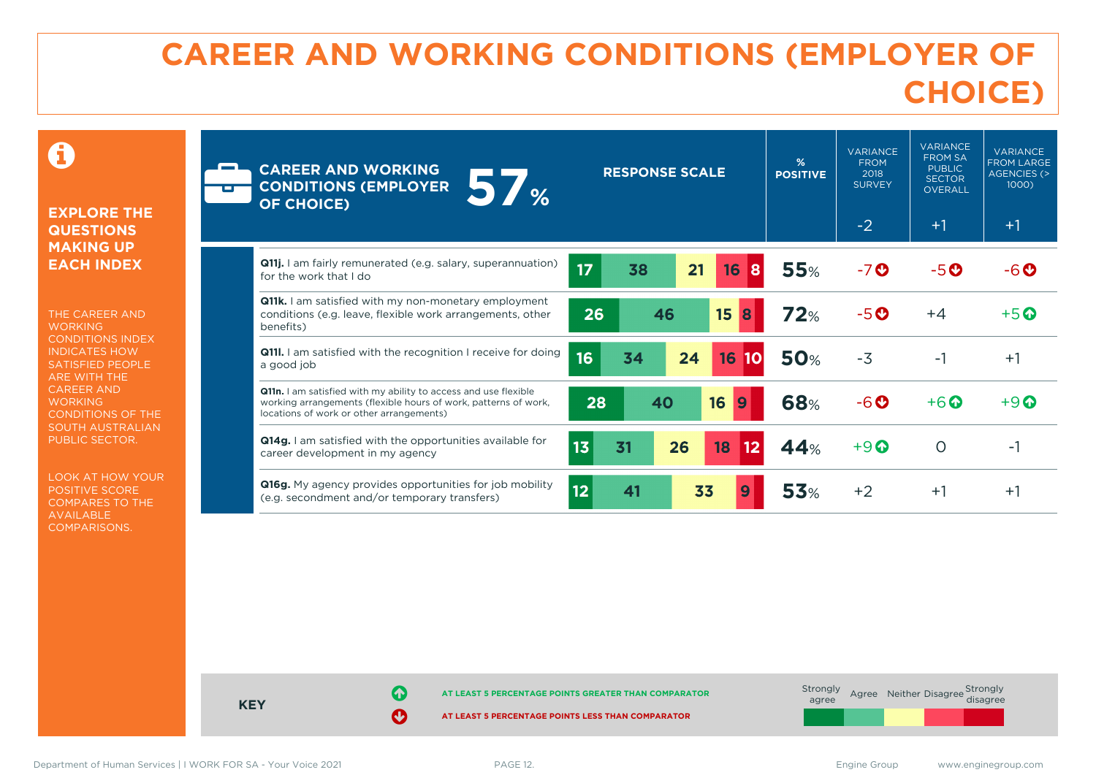# **CAREER AND WORKING CONDITIONS (EMPLOYER OF CHOICE)**

 $\mathbf \Omega$ 

#### **EXPLORE THE QUESTIONS MAKING UP EACH INDEX**

THE CAREER AND **WORKING** CONDITIONS INDEX INDICATES HOW SATISFIED PEOPLE ARE WITH THE CAREER AND **WORKING** CONDITIONS OF THE SOUTH AUSTRALIAN PUBLIC SECTOR.

LOOK AT HOW YOUR POSITIVE SCORE COMPARES TO THE AVAILABLE COMPARISONS.

| <b>CAREER AND WORKING</b><br>57 <sub><br/><b>CONDITIONS (EMPLOYER</b><br/><b>OF CHOICE)</b></sub>                                                                              |    | <b>RESPONSE SCALE</b> |    |                 | %<br><b>POSITIVE</b> | <b>VARIANCE</b><br><b>FROM</b><br>2018<br><b>SURVEY</b><br>$-2$ | <b>VARIANCE</b><br><b>FROM SA</b><br><b>PUBLIC</b><br><b>SECTOR</b><br><b>OVERALL</b><br>$+1$ | <b>VARIANCE</b><br><b>FROM LARGE</b><br><b>AGENCIES (&gt;</b><br>1000)<br>$+1$ |
|--------------------------------------------------------------------------------------------------------------------------------------------------------------------------------|----|-----------------------|----|-----------------|----------------------|-----------------------------------------------------------------|-----------------------------------------------------------------------------------------------|--------------------------------------------------------------------------------|
| <b>Q11j.</b> I am fairly remunerated (e.g. salary, superannuation)<br>for the work that I do                                                                                   | 17 | 38                    | 21 | 16<br>8         | <b>55%</b>           | $-7o$                                                           | $-5o$                                                                                         | -6 O                                                                           |
| <b>Q11k.</b> I am satisfied with my non-monetary employment<br>conditions (e.g. leave, flexible work arrangements, other<br>benefits)                                          | 26 | 46                    |    | 15<br>8         | 72%                  | $-5o$                                                           | $+4$                                                                                          | $+5$ <sup>O</sup>                                                              |
| <b>Q11I.</b> I am satisfied with the recognition I receive for doing<br>a good job                                                                                             | 16 | 34                    | 24 | 16<br><b>10</b> | <b>50%</b>           | $-3$                                                            | $-1$                                                                                          | $+1$                                                                           |
| Q11n. I am satisfied with my ability to access and use flexible<br>working arrangements (flexible hours of work, patterns of work,<br>locations of work or other arrangements) | 28 | 40                    |    | 16<br>9         | <b>68%</b>           | $-6$ $\odot$                                                    | $+6$ $\odot$                                                                                  | $+9$ $\odot$                                                                   |
| <b>Q14g.</b> I am satisfied with the opportunities available for<br>career development in my agency                                                                            | 13 | 31                    | 26 | 18<br>12        | 44%                  | $+9$ $\odot$                                                    | $\circ$                                                                                       | -1                                                                             |
| Q16g. My agency provides opportunities for job mobility<br>(e.g. secondment and/or temporary transfers)                                                                        | 12 | 41                    | 33 |                 | <b>53%</b>           | $+2$                                                            | $+1$                                                                                          | $+1$                                                                           |



Department of Human Services | I WORK FOR SA - Your Voice 2021 PAGE 12. Engine Group www.enginegroup.com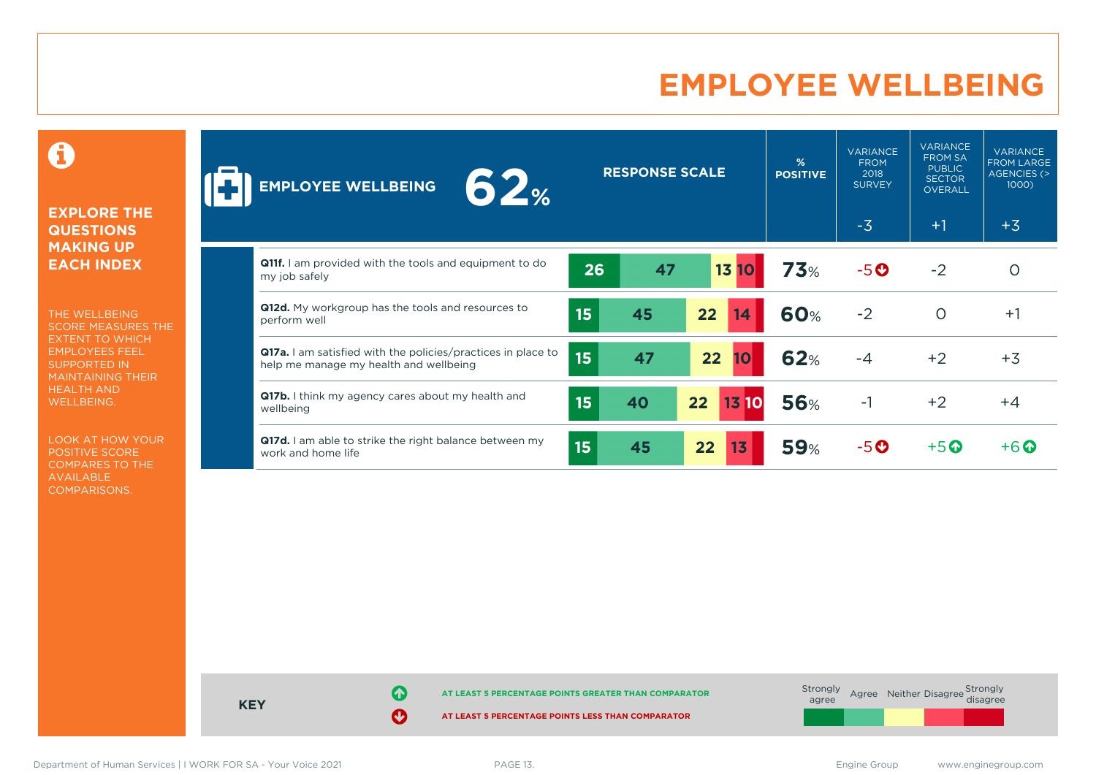### **EMPLOYEE WELLBEING**

0

#### **EXPLORE THE QUESTIONS MAKING UP EACH INDEX**

THE WELLBEING SCORE MEASURES THE EXTENT TO WHICH EMPLOYEES FEEL SUPPORTED IN MAINTAINING THEIR HEALTH AND WELLBEING.

LOOK AT HOW YOUR POSITIVE SCORE COMPARES TO THE AVAILABLE COMPARISONS.

| 62 <sub><br/><b>EMPLOYEE WELLBEING</b></sub>                                                           |                  | <b>RESPONSE SCALE</b> |                                 | %<br><b>POSITIVE</b> | <b>VARIANCE</b><br><b>FROM</b><br>2018<br><b>SURVEY</b> | <b>VARIANCE</b><br><b>FROM SA</b><br><b>PUBLIC</b><br><b>SECTOR</b><br>OVERALL | <b>VARIANCE</b><br><b>FROM LARGE</b><br>AGENCIES (><br>$1000$ ) |
|--------------------------------------------------------------------------------------------------------|------------------|-----------------------|---------------------------------|----------------------|---------------------------------------------------------|--------------------------------------------------------------------------------|-----------------------------------------------------------------|
|                                                                                                        |                  |                       |                                 |                      | $-3$                                                    | $+1$                                                                           | $+3$                                                            |
| <b>Q11f.</b> I am provided with the tools and equipment to do<br>my job safely                         | 26               | 47                    | <b>13 10</b>                    | 73%                  | $-5o$                                                   | $-2$                                                                           | O                                                               |
| Q12d. My workgroup has the tools and resources to<br>perform well                                      | 15               | 45                    | 22<br>14                        | 60%                  | $-2$                                                    | $\circ$                                                                        | $+1$                                                            |
| Q17a. I am satisfied with the policies/practices in place to<br>help me manage my health and wellbeing | 15               | 47                    | 22<br>10                        | <b>62%</b>           | $-4$                                                    | $+2$                                                                           | $+3$                                                            |
| Q17b. I think my agency cares about my health and<br>wellbeing                                         | 15               | 40                    | 22 <sub>2</sub><br><b>13 10</b> | <b>56%</b>           | $-1$                                                    | $+2$                                                                           | $+4$                                                            |
| Q17d. I am able to strike the right balance between my<br>work and home life                           | 15 <sub>15</sub> | 45                    | 22<br>13                        | <b>59%</b>           | -50                                                     | $+5\,$                                                                         | $+6$ $\odot$                                                    |

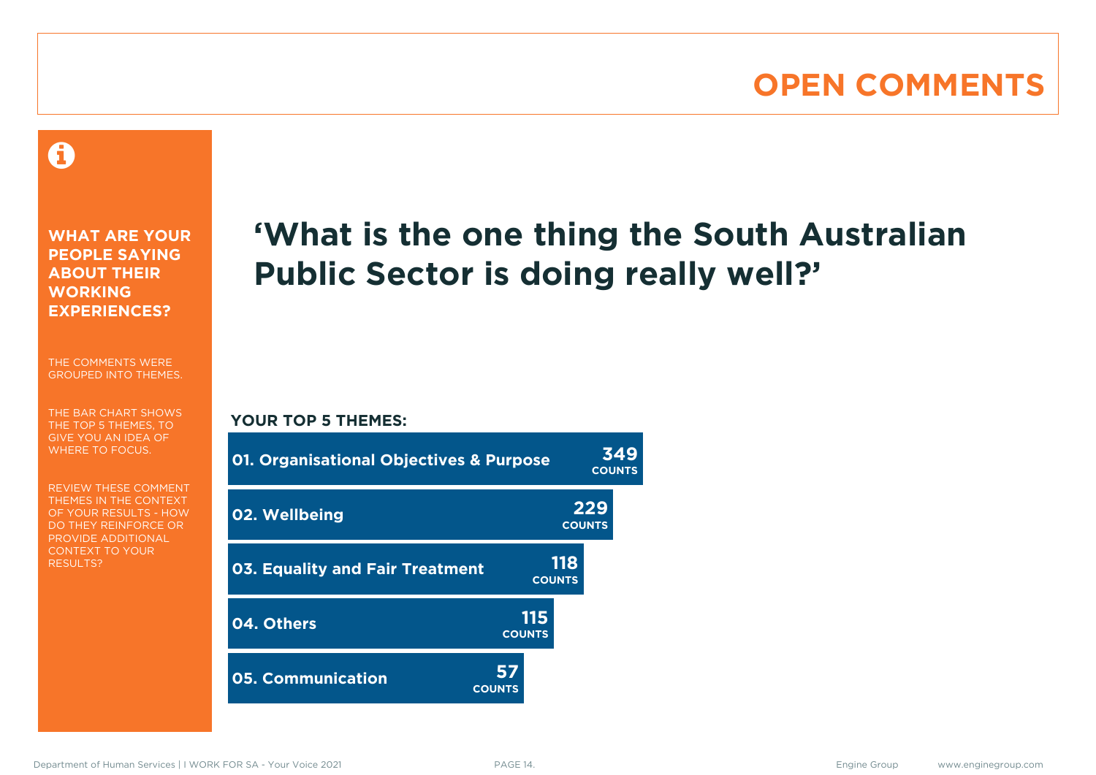### **OPEN COMMENTS**

#### 0

**WHAT ARE YOUR PEOPLE SAYING ABOUT THEIR WORKING EXPERIENCES?**

THE COMMENTS WERE GROUPED INTO THEMES.

THE BAR CHART SHOWS THE TOP 5 THEMES, TO GIVE YOU AN IDEA OF WHERE TO FOCUS.

REVIEW THESE COMMENT THEMES IN THE CONTEXT OF YOUR RESULTS - HOW DO THEY REINFORCE OR PROVIDE ADDITIONAL CONTEXT TO YOUR **RESULTS?** 

# **'What is the one thing the South Australian Public Sector is doing really well?'**

**COUNTS**

#### **YOUR TOP 5 THEMES:**

| 01. Organisational Objectives & Purpose |                      |                      | 349<br><b>COUNTS</b> |
|-----------------------------------------|----------------------|----------------------|----------------------|
| 02. Wellbeing                           |                      | 229<br><b>COUNTS</b> |                      |
| <b>03. Equality and Fair Treatment</b>  |                      | 118<br><b>COUNTS</b> |                      |
| 04. Others                              | 115<br><b>COUNTS</b> |                      |                      |
| 05. Communication                       | 57<br><b>COUNTS</b>  |                      |                      |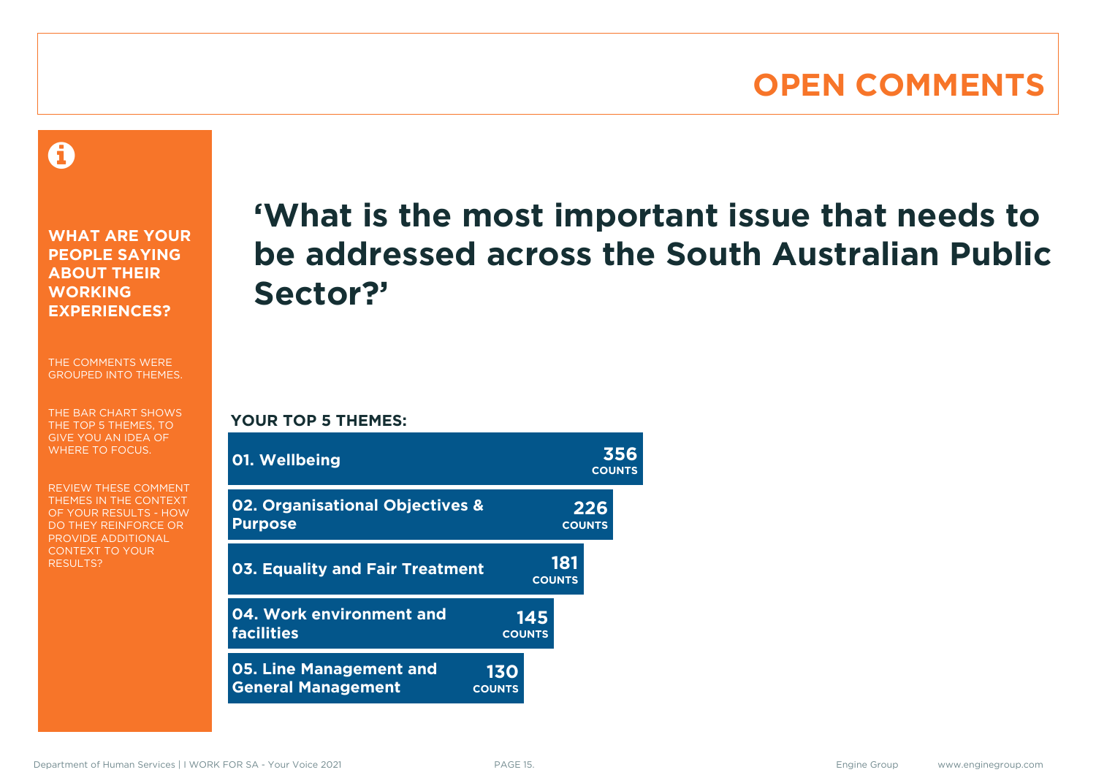### **OPEN COMMENTS**

A

**WHAT ARE YOUR PEOPLE SAYING ABOUT THEIR WORKING EXPERIENCES?**

THE COMMENTS WERE GROUPED INTO THEMES.

THE BAR CHART SHOWS THE TOP 5 THEMES, TO GIVE YOU AN IDEA OF WHERE TO FOCUS.

REVIEW THESE COMMENT THEMES IN THE CONTEXT OF YOUR RESULTS - HOW DO THEY REINFORCE OR PROVIDE ADDITIONAL CONTEXT TO YOUR **RESULTS?** 

# **'What is the most important issue that needs to be addressed across the South Australian Public Sector?'**

**YOUR TOP 5 THEMES:**

| 01. Wellbeing                                               |                             |                      | 356<br><b>COUNTS</b> |
|-------------------------------------------------------------|-----------------------------|----------------------|----------------------|
| 02. Organisational Objectives &<br><b>Purpose</b>           |                             |                      | 226<br><b>COUNTS</b> |
| 03. Equality and Fair Treatment                             |                             | 181<br><b>COUNTS</b> |                      |
| 04. Work environment and<br><b>facilities</b>               | <b>COUNTS</b>               | 145                  |                      |
| <b>05. Line Management and</b><br><b>General Management</b> | <b>130</b><br><b>COUNTS</b> |                      |                      |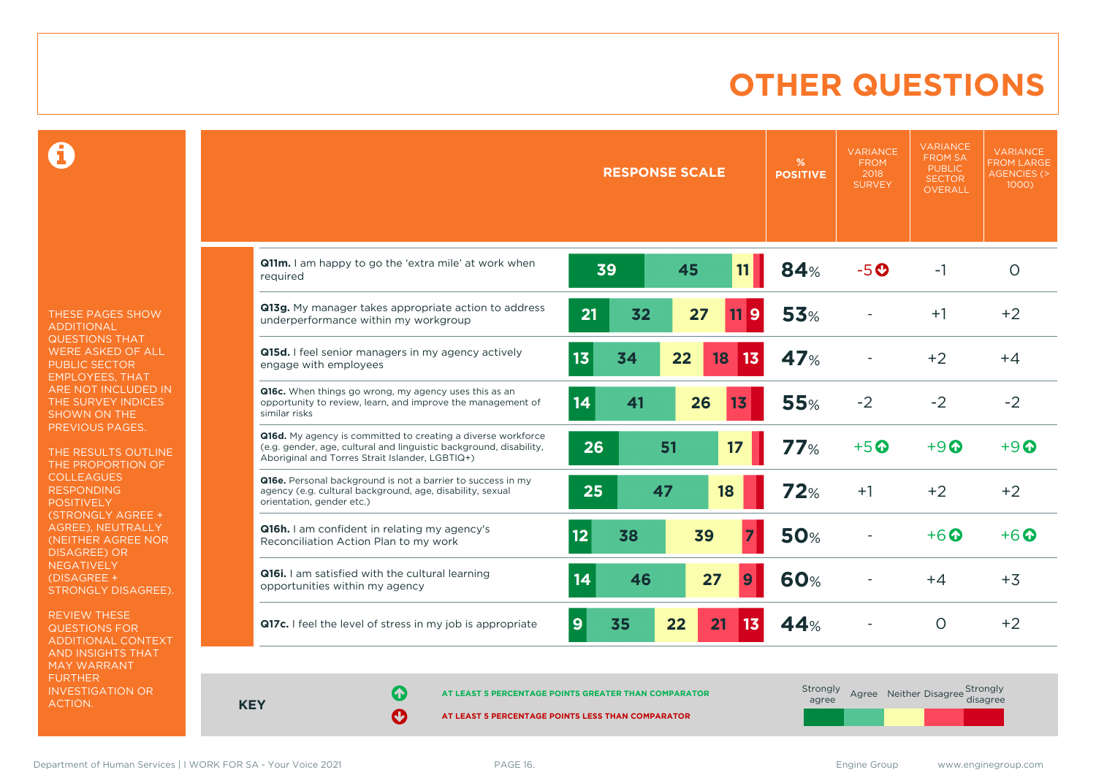### **OTHER QUESTIONS**

0

THESE PAGES SHOW ADDITIONAL QUESTIONS THAT WERE ASKED OF ALL PUBLIC SECTOR EMPLOYEES, THAT ARE NOT INCLUDED IN THE SURVEY INDICES SHOWN ON THE PREVIOUS PAGES.

THE RESULTS OUTLINE THE PROPORTION OF COLLEAGUES RESPONDING POSITIVELY (STRONGLY AGREE + AGREE), NEUTRALLY (NEITHER AGREE NOR DISAGREE) OR NEGATIVELY (DISAGREE + STRONGLY DISAGREE).

REVIEW THESE QUESTIONS FOR ADDITIONAL CONTEXT AND INSIGHTS THAT MAY WARRANT FURTHER INVESTIGATION OR ACTION.

|                                                                                                                                                                                       |          | <b>RESPONSE SCALE</b> | %<br><b>POSITIVE</b> | <b>VARIANCE</b><br><b>FROM</b><br>2018<br><b>SURVEY</b> | <b>VARIANCE</b><br><b>FROM SA</b><br><b>PUBLIC</b><br><b>SECTOR</b><br><b>OVERALL</b> | <b>VARIANCE</b><br><b>FROM LARGE</b><br><b>AGENCIES (&gt;</b><br>1000) |
|---------------------------------------------------------------------------------------------------------------------------------------------------------------------------------------|----------|-----------------------|----------------------|---------------------------------------------------------|---------------------------------------------------------------------------------------|------------------------------------------------------------------------|
| Q11m. I am happy to go the 'extra mile' at work when<br>required                                                                                                                      | 39       | 45<br>11              | 84%                  | $-5o$                                                   | $-1$                                                                                  | $\circ$                                                                |
| Q13g. My manager takes appropriate action to address<br>underperformance within my workgroup                                                                                          | 32<br>21 | 27<br>9<br>11         | <b>53%</b>           |                                                         | $+1$                                                                                  | $+2$                                                                   |
| Q15d. I feel senior managers in my agency actively<br>engage with employees                                                                                                           | 13<br>34 | 22<br>18<br>13        | 47%                  |                                                         | $+2$                                                                                  | $+4$                                                                   |
| Q16c. When things go wrong, my agency uses this as an<br>opportunity to review, learn, and improve the management of<br>similar risks                                                 | 14<br>41 | 26<br>13              | 55%                  | $-2$                                                    | $-2$                                                                                  | $-2$                                                                   |
| Q16d. My agency is committed to creating a diverse workforce<br>(e.g. gender, age, cultural and linguistic background, disability,<br>Aboriginal and Torres Strait Islander, LGBTIQ+) | 26       | 17<br>51              | 77%                  | $+5$ <sup>O</sup>                                       | $+9$ $\odot$                                                                          | $+9$ $\odot$                                                           |
| Q16e. Personal background is not a barrier to success in my<br>agency (e.g. cultural background, age, disability, sexual<br>orientation, gender etc.)                                 | 25       | 47<br>18              | 72%                  | $+1$                                                    | $+2$                                                                                  | $+2$                                                                   |
| <b>Q16h.</b> I am confident in relating my agency's<br>Reconciliation Action Plan to my work                                                                                          | 12<br>38 | 39                    | <b>50%</b>           |                                                         | $+6\Omega$                                                                            | $+6$ $\odot$                                                           |
| Q16i. I am satisfied with the cultural learning<br>opportunities within my agency                                                                                                     | 46<br>14 | 27<br>9               | <b>60%</b>           |                                                         | $+4$                                                                                  | $+3$                                                                   |
| Q17c. I feel the level of stress in my job is appropriate                                                                                                                             | 9<br>35  | 22<br>21<br>13        | 44%                  |                                                         | $\circ$                                                                               | $+2$                                                                   |

**KEY**

**AT LEAST 5 PERCENTAGE POINTS GREATER THAN COMPARATOR**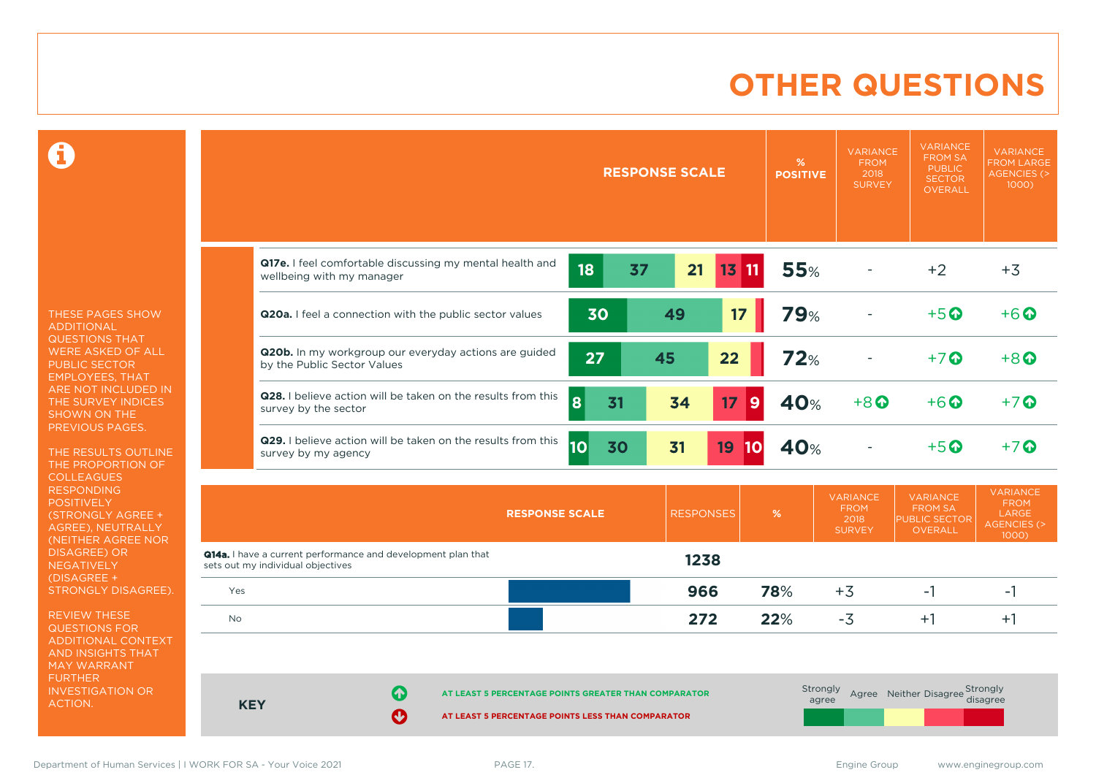### **OTHER QUESTIONS**

0

THESE PAGES SHOW ADDITIONAL QUESTIONS THAT WERE ASKED OF ALL PUBLIC SECTOR EMPLOYEES, THAT ARE NOT INCLUDED IN THE SURVEY INDICES SHOWN ON THE PREVIOUS PAGES.

THE RESULTS OUTLINE THE PROPORTION OF COLLEAGUES RESPONDING **POSITIVELY** (STRONGLY AGREE + AGREE), NEUTRALLY (NEITHER AGREE NOR DISAGREE) OR NEGATIVELY (DISAGREE + STRONGLY DISAGREE).

REVIEW THESE QUESTIONS FOR ADDITIONAL CONTEXT AND INSIGHTS THAT MAY WARRANT FURTHER INVESTIGATION OR ACTION.

|                                                                                       |           | <b>RESPONSE SCALE</b> |           | %<br><b>POSITIVE</b> | <b>VARIANCE</b><br><b>FROM</b><br>2018<br><b>SURVEY</b> | <b>VARIANCE</b><br><b>FROM SA</b><br><b>PUBLIC</b><br><b>SECTOR</b><br><b>OVERALL</b> | <b>VARIANCE</b><br><b>FROM LARGE</b><br><b>AGENCIES (&gt;</b><br>1000)    |
|---------------------------------------------------------------------------------------|-----------|-----------------------|-----------|----------------------|---------------------------------------------------------|---------------------------------------------------------------------------------------|---------------------------------------------------------------------------|
| Q17e. I feel comfortable discussing my mental health and<br>wellbeing with my manager | 18<br>37  | 21                    | $13$ $11$ | <b>55%</b>           |                                                         | $+2$                                                                                  | $+3$                                                                      |
| Q20a. I feel a connection with the public sector values                               | 30        | 49                    | 17        | <b>79%</b>           |                                                         | $+5$ <sup>O</sup>                                                                     | $+6$ <sup>O</sup>                                                         |
| Q20b. In my workgroup our everyday actions are guided<br>by the Public Sector Values  | 27        | 45                    | 22        | <b>72%</b>           |                                                         | $+7$ <sup>O</sup>                                                                     | $+8$ <sup>O</sup>                                                         |
| Q28. I believe action will be taken on the results from this<br>survey by the sector  | 8<br>31   | 34                    | 17<br>9   | 40%                  | $+8$ <sup><math>\odot</math></sup>                      | $+6$ <sup><math>\odot</math></sup>                                                    | $+7$ <sup>O</sup>                                                         |
| Q29. I believe action will be taken on the results from this<br>survey by my agency   | 10 <br>30 | 31                    | 19<br> 10 | 40%                  |                                                         | $+5$ <sup>O</sup>                                                                     | $+7o$                                                                     |
| <b>RESPONSE SCALE</b>                                                                 |           | <b>RESPONSES</b>      |           | $\%$                 | <b>VARIANCE</b><br><b>FROM</b><br>2018<br><b>SURVEY</b> | <b>VARIANCE</b><br><b>FROM SA</b><br><b>PUBLIC SECTOR</b><br>OVERALL                  | <b>VARIANCE</b><br><b>FROM</b><br>LARGE<br><b>AGENCIES (&gt;</b><br>1000) |

| Yes        |                 |                                                                                                           | 966 | 78% | +3       | -                               | -      |
|------------|-----------------|-----------------------------------------------------------------------------------------------------------|-----|-----|----------|---------------------------------|--------|
| <b>No</b>  |                 |                                                                                                           | 272 | 22% | -5       |                                 | $^{+}$ |
|            |                 |                                                                                                           |     |     |          |                                 |        |
|            | $\blacklozenge$ |                                                                                                           |     |     | Strongly | Agree Neither Disagree Strongly |        |
| <b>KEY</b> | Ø               | AT LEAST 5 PERCENTAGE POINTS GREATER THAN COMPARATOR<br>AT LEAST 5 PERCENTAGE POINTS LESS THAN COMPARATOR |     |     | agree    |                                 |        |

Department of Human Services | I WORK FOR SA - Your Voice 2021 **PAGE 17.** PAGE 17. Engine Group www.enginegroup.com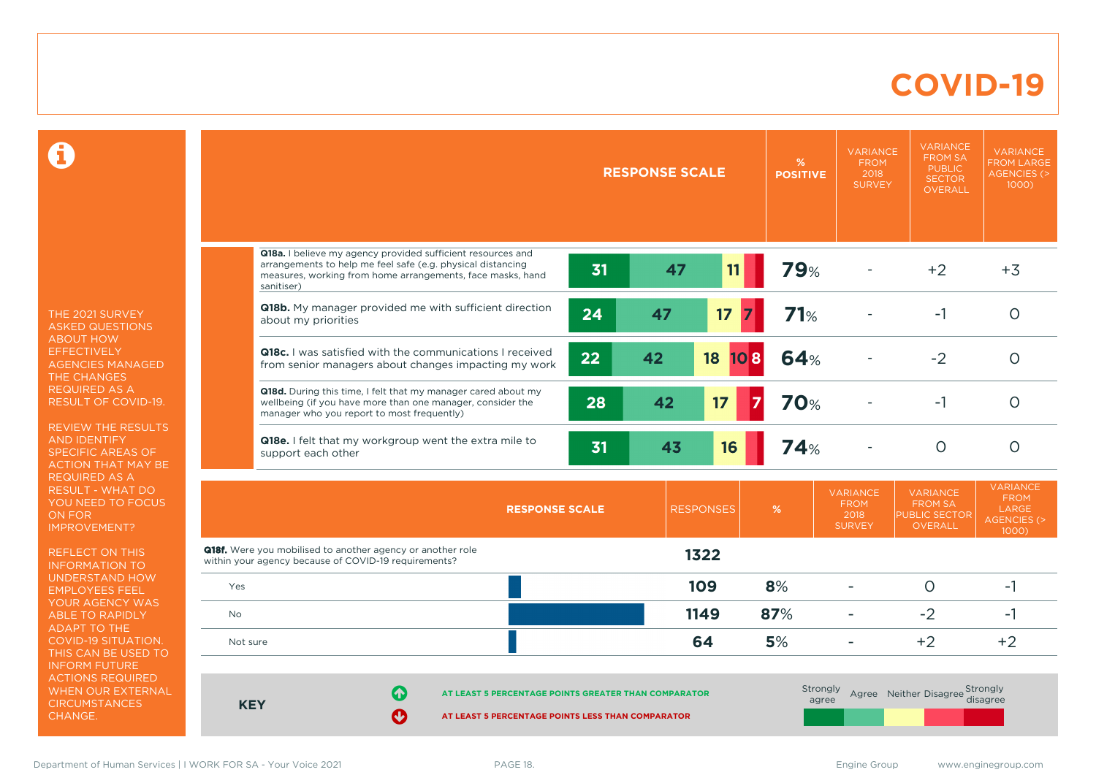#### **COVID-19**

 $\mathbf \Omega$ 

THE 2021 SURVEY ASKED QUESTIONS ABOUT HOW EFFECTIVELY AGENCIES MANAGED THE CHANGES REQUIRED AS A RESULT OF COVID-19.

REVIEW THE RESULTS AND IDENTIFY SPECIFIC AREAS OF ACTION THAT MAY BE REQUIRED AS A RESULT - WHAT DO YOU NEED TO FOCUS ON FOR IMPROVEMENT?

REFLECT ON THIS INFORMATION TO UNDERSTAND HOW EMPLOYEES FEEL YOUR AGENCY WAS ABLE TO RAPIDLY ADAPT TO THE COVID-19 SITUATION. THIS CAN BE USED TO INFORM FUTURE ACTIONS REQUIRED WHEN OUR EXTERNAL **CIRCUMSTANCES** CHANGE.

|          |                                                                                                                                                                                                        | <b>RESPONSE SCALE</b> |    |                  | %<br><b>POSITIVE</b> | <b>VARIANCE</b><br><b>FROM</b><br>2018<br><b>SURVEY</b> | <b>VARIANCE</b><br><b>FROM SA</b><br><b>PUBLIC</b><br><b>SECTOR</b><br><b>OVERALL</b> | <b>VARIANCE</b><br><b>FROM LARGE</b><br><b>AGENCIES (&gt;</b><br>$1000$ ) |  |
|----------|--------------------------------------------------------------------------------------------------------------------------------------------------------------------------------------------------------|-----------------------|----|------------------|----------------------|---------------------------------------------------------|---------------------------------------------------------------------------------------|---------------------------------------------------------------------------|--|
|          |                                                                                                                                                                                                        |                       |    |                  |                      |                                                         |                                                                                       |                                                                           |  |
|          | Q18a. I believe my agency provided sufficient resources and<br>arrangements to help me feel safe (e.g. physical distancing<br>measures, working from home arrangements, face masks, hand<br>sanitiser) | 31                    | 47 | 11               | <b>79%</b>           |                                                         | $+2$                                                                                  | $+3$                                                                      |  |
|          | Q18b. My manager provided me with sufficient direction<br>about my priorities                                                                                                                          | 24                    | 47 | 17               | 71%                  |                                                         | $-1$                                                                                  | $\circ$                                                                   |  |
|          | Q18c. I was satisfied with the communications I received<br>from senior managers about changes impacting my work                                                                                       | 22                    | 42 | 18<br>108        | 64%                  |                                                         | $-2$                                                                                  | $\circ$                                                                   |  |
|          | Q18d. During this time, I felt that my manager cared about my<br>wellbeing (if you have more than one manager, consider the<br>manager who you report to most frequently)                              | 28                    | 42 | 17               | <b>70%</b>           |                                                         | $-1$                                                                                  | $\circ$                                                                   |  |
|          | Q18e. I felt that my workgroup went the extra mile to<br>support each other                                                                                                                            | 31                    | 43 | 16               | <b>74%</b>           |                                                         | $\circ$                                                                               | $\circ$                                                                   |  |
|          | <b>RESPONSE SCALE</b>                                                                                                                                                                                  |                       |    | <b>RESPONSES</b> | $\%$                 | <b>VARIANCE</b><br><b>FROM</b><br>2018<br><b>SURVEY</b> | <b>VARIANCE</b><br><b>FROM SA</b><br><b>PUBLIC SECTOR</b><br><b>OVERALL</b>           | <b>VARIANCE</b><br><b>FROM</b><br>LARGE<br><b>AGENCIES (&gt;</b><br>1000) |  |
|          | <b>Q18f.</b> Were you mobilised to another agency or another role<br>within your agency because of COVID-19 requirements?                                                                              |                       |    | 1322             |                      |                                                         |                                                                                       |                                                                           |  |
| Yes      |                                                                                                                                                                                                        |                       |    | 109              | 8%                   |                                                         | $\circ$                                                                               | $-1$                                                                      |  |
| No.      |                                                                                                                                                                                                        |                       |    | 1149             | 87%                  | ۰                                                       | $-2$                                                                                  | $-1$                                                                      |  |
| Not sure |                                                                                                                                                                                                        |                       |    | 64               | 5%                   |                                                         | $+2$                                                                                  | $+2$                                                                      |  |
|          | Strongly<br>Agree Neither Disagree Strongly<br>ᠰ<br>AT LEAST 5 PERCENTAGE POINTS GREATER THAN COMPARATOR<br>disagree<br>agree<br><b>KEY</b><br>AT LEAST 5 PERCENTAGE POINTS LESS THAN COMPARATOR       |                       |    |                  |                      |                                                         |                                                                                       |                                                                           |  |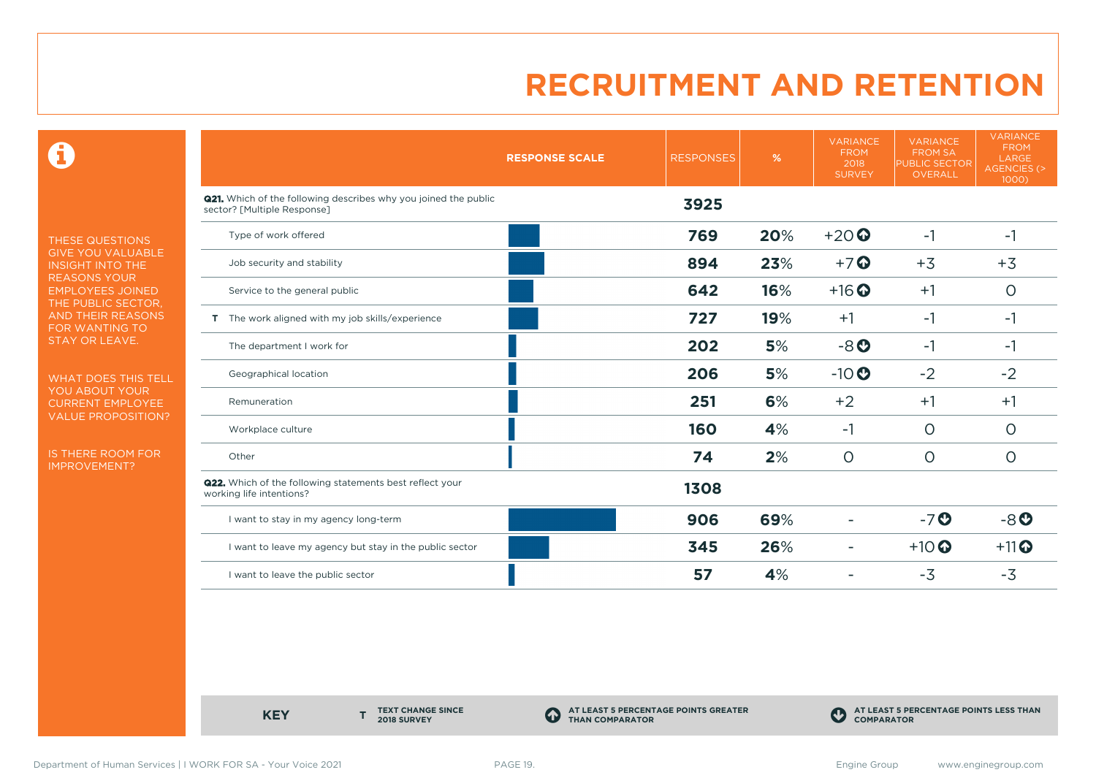$\mathbf \Theta$ 

THESE QUESTIONS GIVE YOU VALUABLE INSIGHT INTO THE REASONS YOUR EMPLOYEES JOINED THE PUBLIC SECTOR, AND THEIR REASONS FOR WANTING TO STAY OR LEAVE.

WHAT DOES THIS TELL YOU ABOUT YOUR CURRENT EMPLOYEE VALUE PROPOSITION?

IS THERE ROOM FOR IMPROVEMENT?

|                                                                                                       | <b>RESPONSE SCALE</b> | <b>RESPONSES</b> | $\%$ | <b>VARIANCE</b><br><b>FROM</b><br>2018<br><b>SURVEY</b> | <b>VARIANCE</b><br><b>FROM SA</b><br><b>PUBLIC SECTOR</b><br><b>OVERALL</b> | <b>VARIANCE</b><br><b>FROM</b><br>LARGE<br><b>AGENCIES (&gt;</b><br>1000) |
|-------------------------------------------------------------------------------------------------------|-----------------------|------------------|------|---------------------------------------------------------|-----------------------------------------------------------------------------|---------------------------------------------------------------------------|
| <b>Q21.</b> Which of the following describes why you joined the public<br>sector? [Multiple Response] |                       | 3925             |      |                                                         |                                                                             |                                                                           |
| Type of work offered                                                                                  |                       | 769              | 20%  | $+20$                                                   | $-1$                                                                        | $-1$                                                                      |
| Job security and stability                                                                            |                       | 894              | 23%  | $+7$ $\odot$                                            | $+3$                                                                        | $+3$                                                                      |
| Service to the general public                                                                         |                       | 642              | 16%  | $+16$ <sup>O</sup>                                      | $+1$                                                                        | $\circ$                                                                   |
| T The work aligned with my job skills/experience                                                      |                       | 727              | 19%  | $+1$                                                    | $-1$                                                                        | $-1$                                                                      |
| The department I work for                                                                             |                       | 202              | 5%   | $-8o$                                                   | $-1$                                                                        | $-1$                                                                      |
| Geographical location                                                                                 |                       | 206              | 5%   | $-10$                                                   | $-2$                                                                        | $-2$                                                                      |
| Remuneration                                                                                          |                       | 251              | 6%   | $+2$                                                    | $+1$                                                                        | $+1$                                                                      |
| Workplace culture                                                                                     |                       | 160              | 4%   | -1                                                      | $\circ$                                                                     | $\circ$                                                                   |
| Other                                                                                                 |                       | 74               | 2%   | $\circ$                                                 | $\circ$                                                                     | $\circ$                                                                   |
| <b>Q22.</b> Which of the following statements best reflect your<br>working life intentions?           |                       | 1308             |      |                                                         |                                                                             |                                                                           |
| I want to stay in my agency long-term                                                                 |                       | 906              | 69%  |                                                         | $-7o$                                                                       | $-8o$                                                                     |
| I want to leave my agency but stay in the public sector                                               |                       | 345              | 26%  | $\overline{a}$                                          | $+10$ <sup>O</sup>                                                          | $+11$ <sup>O</sup>                                                        |
| I want to leave the public sector                                                                     |                       | 57               | 4%   |                                                         | $-3$                                                                        | $-3$                                                                      |

**KEY** 

**TEXT CHANGE SINCE 2018 SURVEY**

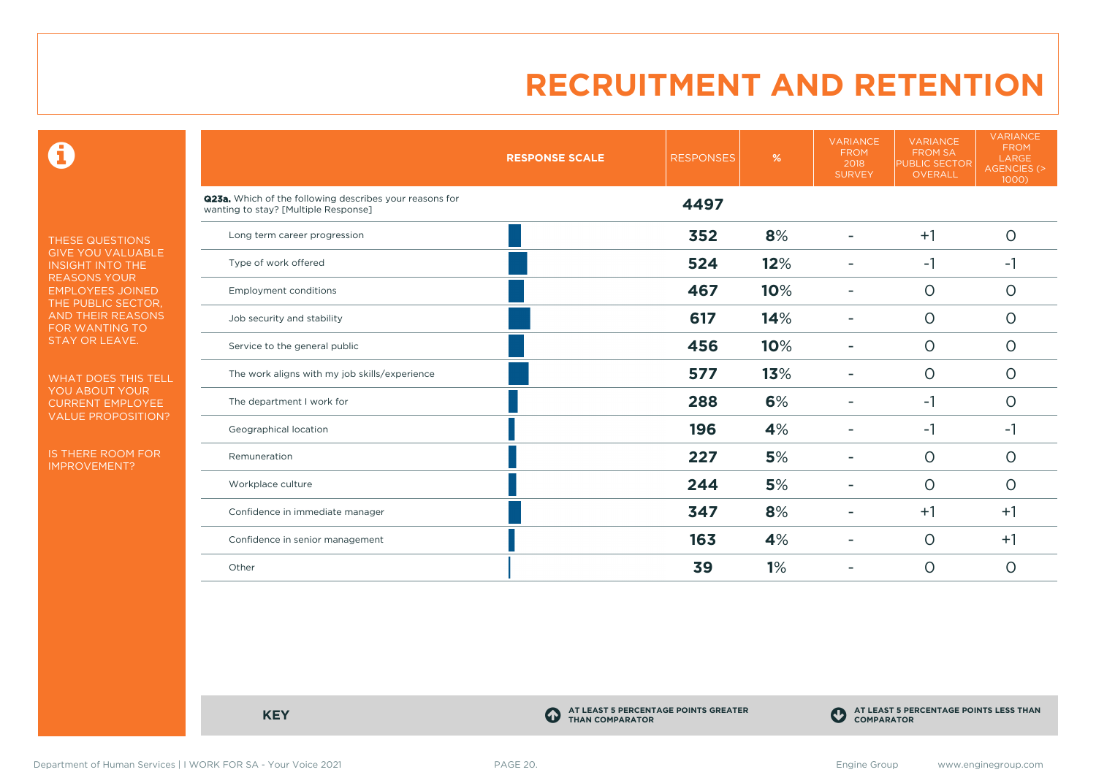$\mathbf \Theta$ 

THESE QUESTIONS GIVE YOU VALUABLE INSIGHT INTO THE REASONS YOUR EMPLOYEES JOINED THE PUBLIC SECTOR, AND THEIR REASONS FOR WANTING TO STAY OR LEAVE.

WHAT DOES THIS TELL YOU ABOUT YOUR CURRENT EMPLOYEE VALUE PROPOSITION?

IS THERE ROOM FOR IMPROVEMENT?

|                                                                                                 | <b>RESPONSE SCALE</b> | <b>RESPONSES</b> | %   | <b>VARIANCE</b><br><b>FROM</b><br>2018<br><b>SURVEY</b> | <b>VARIANCE</b><br><b>FROM SA</b><br><b>PUBLIC SECTOR</b><br><b>OVERALL</b> | <b>VARIANCE</b><br><b>FROM</b><br>LARGE<br>AGENCIES (><br>1000) |
|-------------------------------------------------------------------------------------------------|-----------------------|------------------|-----|---------------------------------------------------------|-----------------------------------------------------------------------------|-----------------------------------------------------------------|
| Q23a. Which of the following describes your reasons for<br>wanting to stay? [Multiple Response] |                       | 4497             |     |                                                         |                                                                             |                                                                 |
| Long term career progression                                                                    |                       | 352              | 8%  |                                                         | $+1$                                                                        | $\circ$                                                         |
| Type of work offered                                                                            |                       | 524              | 12% |                                                         | $-1$                                                                        | $-1$                                                            |
| <b>Employment conditions</b>                                                                    |                       | 467              | 10% | ۰                                                       | $\circ$                                                                     | $\circ$                                                         |
| Job security and stability                                                                      |                       | 617              | 14% |                                                         | $\circ$                                                                     | $\circ$                                                         |
| Service to the general public                                                                   |                       | 456              | 10% |                                                         | $\circ$                                                                     | $\circ$                                                         |
| The work aligns with my job skills/experience                                                   |                       | 577              | 13% |                                                         | $\circ$                                                                     | $\circ$                                                         |
| The department I work for                                                                       |                       | 288              | 6%  |                                                         | $-1$                                                                        | $\circ$                                                         |
| Geographical location                                                                           |                       | 196              | 4%  |                                                         | $-1$                                                                        | $-1$                                                            |
| Remuneration                                                                                    |                       | 227              | 5%  |                                                         | $\circ$                                                                     | $\circ$                                                         |
| Workplace culture                                                                               |                       | 244              | 5%  | -                                                       | $\circ$                                                                     | $\circ$                                                         |
| Confidence in immediate manager                                                                 |                       | 347              | 8%  |                                                         | $+1$                                                                        | $+1$                                                            |
| Confidence in senior management                                                                 |                       | 163              | 4%  |                                                         | $\circ$                                                                     | $+1$                                                            |
| Other                                                                                           |                       | 39               | 1%  |                                                         | $\circ$                                                                     | $\circ$                                                         |

**KEY C** 

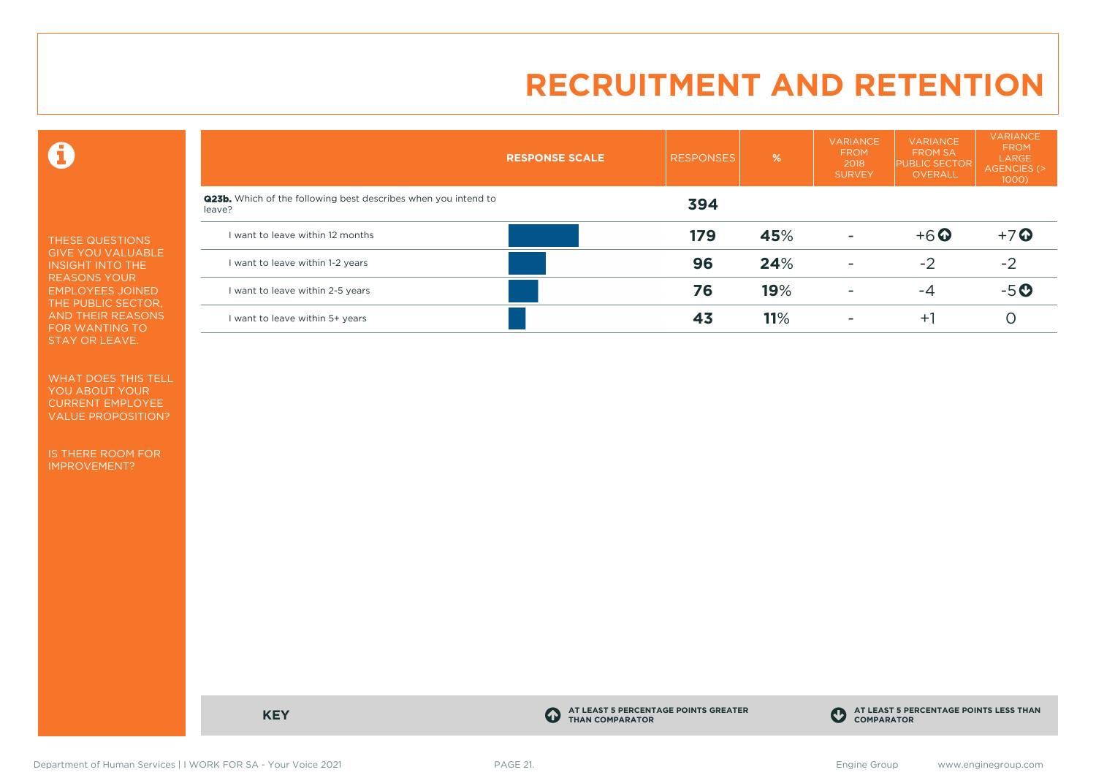$\mathbf \Theta$ 

THESE QUESTIONS GIVE YOU VALUABLE INSIGHT INTO THE REASONS YOUR EMPLOYEES JOINED THE PUBLIC SECTOR, AND THEIR REASONS FOR WANTING TO STAY OR LEAVE.

WHAT DOES THIS TELL YOU ABOUT YOUR CURRENT EMPLOYEE VALUE PROPOSITION?

IS THERE ROOM FOR IMPROVEMENT?

|                                                                                 | <b>RESPONSE SCALE</b> | <b>RESPONSES</b> | %   | <b>VARIANCE</b><br><b>FROM</b><br>2018<br><b>SURVEY</b> | <b>VARIANCE</b><br><b>FROM SA</b><br><b>PUBLIC SECTOR</b><br><b>OVERALL</b> | <b>VARIANCE</b><br><b>FROM</b><br>LARGE<br>AGENCIES (><br>$1000$ ) |
|---------------------------------------------------------------------------------|-----------------------|------------------|-----|---------------------------------------------------------|-----------------------------------------------------------------------------|--------------------------------------------------------------------|
| <b>Q23b.</b> Which of the following best describes when you intend to<br>leave? |                       | 394              |     |                                                         |                                                                             |                                                                    |
| I want to leave within 12 months                                                |                       | 179              | 45% | ۰                                                       | $+6$ $\odot$                                                                | $+7$ $\odot$                                                       |
| I want to leave within 1-2 years                                                |                       | 96               | 24% | $\overline{\phantom{a}}$                                | $-2$                                                                        | $-2$                                                               |
| I want to leave within 2-5 years                                                |                       | 76               | 19% | ۰                                                       | -4                                                                          | $-5o$                                                              |
| I want to leave within 5+ years                                                 |                       | 43               | 11% | ۰                                                       | $+1$                                                                        |                                                                    |

**KEY C** 

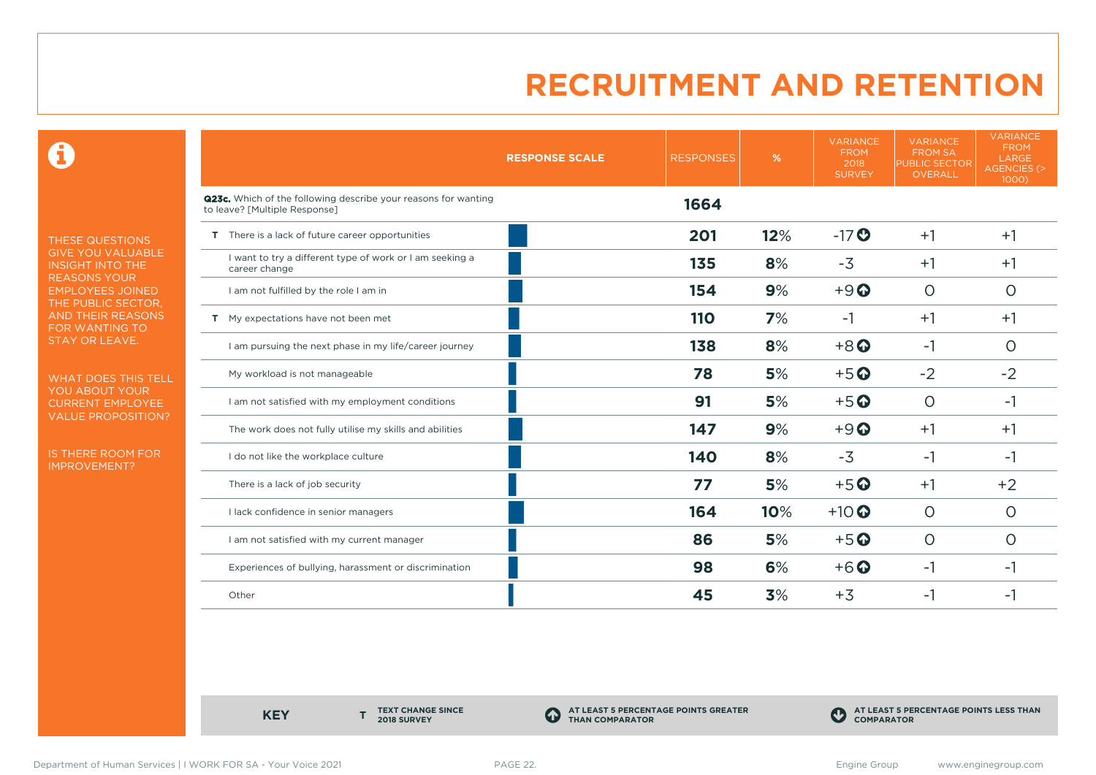0

THESE QUESTIONS GIVE YOU VALUABLE INSIGHT INTO THE REASONS YOUR EMPLOYEES JOINED THE PUBLIC SECTOR, AND THEIR REASONS FOR WANTING TO STAY OR LEAVE.

WHAT DOES THIS TELL YOU ABOUT YOUR CURRENT EMPLOYEE VALUE PROPOSITION?

IS THERE ROOM FOR IMPROVEMENT?

|                                                                                                 | <b>RESPONSE SCALE</b> | <b>RESPONSES</b> | %   | <b>VARIANCE</b><br><b>FROM</b><br>2018<br><b>SURVEY</b> | <b>VARIANCE</b><br><b>FROM SA</b><br><b>PUBLIC SECTOR</b><br>OVERALL | <b>VARIANCE</b><br><b>FROM</b><br>LARGE<br><b>AGENCIES (&gt;</b><br>1000) |
|-------------------------------------------------------------------------------------------------|-----------------------|------------------|-----|---------------------------------------------------------|----------------------------------------------------------------------|---------------------------------------------------------------------------|
| Q23c. Which of the following describe your reasons for wanting<br>to leave? [Multiple Response] |                       | 1664             |     |                                                         |                                                                      |                                                                           |
| T There is a lack of future career opportunities                                                |                       | 201              | 12% | $-17$ <sup>O</sup>                                      | $+1$                                                                 | $+1$                                                                      |
| I want to try a different type of work or I am seeking a<br>career change                       |                       | 135              | 8%  | $-3$                                                    | $+1$                                                                 | $+1$                                                                      |
| I am not fulfilled by the role I am in                                                          |                       | 154              | 9%  | $+9$ <sup><math>\odot</math></sup>                      | $\circ$                                                              | O                                                                         |
| T My expectations have not been met                                                             |                       | 110              | 7%  | $-1$                                                    | $+1$                                                                 | $+1$                                                                      |
| I am pursuing the next phase in my life/career journey                                          |                       | 138              | 8%  | $+8$ <sup><math>\odot</math></sup>                      | $-1$                                                                 | O                                                                         |
| My workload is not manageable                                                                   |                       | 78               | 5%  | $+5$ <sup>O</sup>                                       | $-2$                                                                 | $-2$                                                                      |
| I am not satisfied with my employment conditions                                                |                       | 91               | 5%  | $+5$ <sup>O</sup>                                       | $\circ$                                                              | $-1$                                                                      |
| The work does not fully utilise my skills and abilities                                         |                       | 147              | 9%  | $+9$                                                    | $+1$                                                                 | $+1$                                                                      |
| I do not like the workplace culture                                                             |                       | 140              | 8%  | $-3$                                                    | -1                                                                   | $-1$                                                                      |
| There is a lack of job security                                                                 |                       | 77               | 5%  | $+5$ <sup>O</sup>                                       | $+1$                                                                 | $+2$                                                                      |
| I lack confidence in senior managers                                                            |                       | 164              | 10% | $+10$ <sup>O</sup>                                      | $\circ$                                                              | $\circ$                                                                   |
| I am not satisfied with my current manager                                                      |                       | 86               | 5%  | $+5$ <sup>O</sup>                                       | $\circ$                                                              | $\circ$                                                                   |
| Experiences of bullying, harassment or discrimination                                           |                       | 98               | 6%  | $+6$ <sup>O</sup>                                       | $-1$                                                                 | $-1$                                                                      |
| Other                                                                                           |                       | 45               | 3%  | $+3$                                                    | -1                                                                   | -1                                                                        |

**KEY** 

**TEXT CHANGE SINCE 2018 SURVEY**

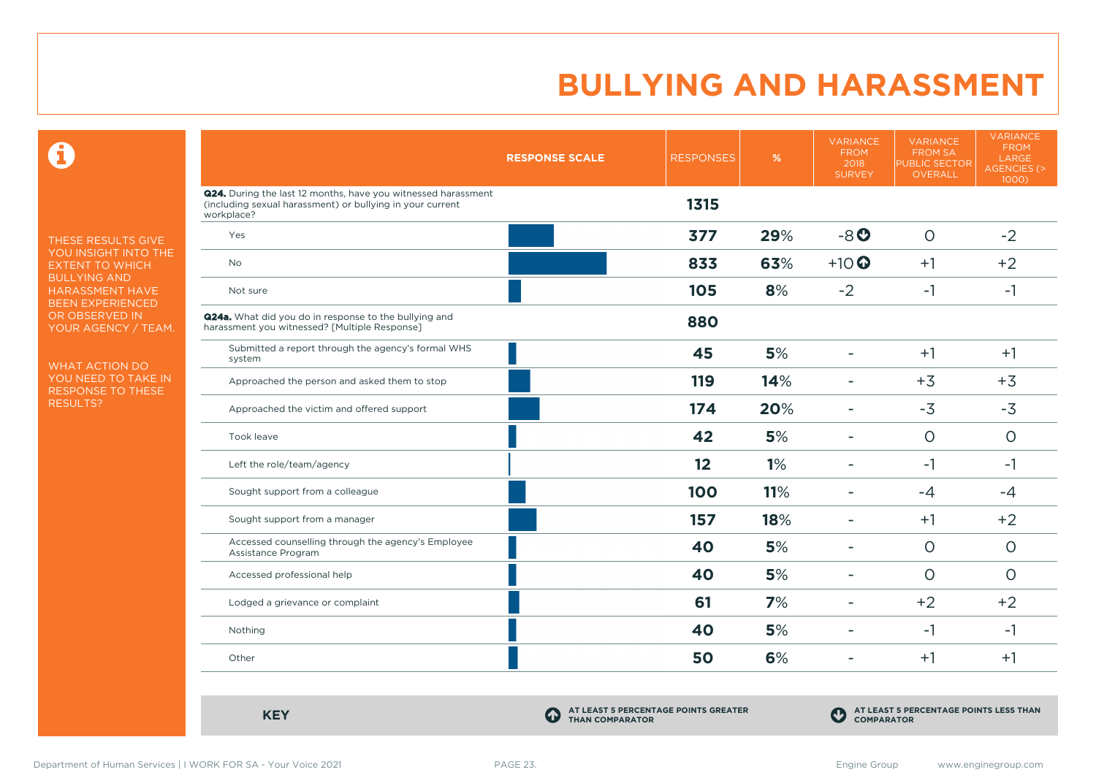$\mathbf \Omega$ 

THESE RESULTS GIVE YOU INSIGHT INTO THE EXTENT TO WHICH BULLYING AND HARASSMENT HAVE BEEN EXPERIENCED OR OBSERVED IN YOUR AGENCY / TEAM.

WHAT ACTION DO YOU NEED TO TAKE IN RESPONSE TO THESE RESULTS?

|                                                                                                                                          | <b>RESPONSE SCALE</b> | <b>RESPONSES</b> | %   | <b>VARIANCE</b><br><b>FROM</b><br>2018<br><b>SURVEY</b> | <b>VARIANCE</b><br><b>FROM SA</b><br><b>PUBLIC SECTOR</b><br>OVERALL | <b>VARIANCE</b><br><b>FROM</b><br>LARGE<br><b>AGENCIES (&gt;</b><br>1000) |
|------------------------------------------------------------------------------------------------------------------------------------------|-----------------------|------------------|-----|---------------------------------------------------------|----------------------------------------------------------------------|---------------------------------------------------------------------------|
| Q24. During the last 12 months, have you witnessed harassment<br>(including sexual harassment) or bullying in your current<br>workplace? |                       | 1315             |     |                                                         |                                                                      |                                                                           |
| Yes                                                                                                                                      |                       | 377              | 29% | $-8o$                                                   | $\circ$                                                              | $-2$                                                                      |
| <b>No</b>                                                                                                                                |                       | 833              | 63% | $+10$                                                   | $+1$                                                                 | $+2$                                                                      |
| Not sure                                                                                                                                 |                       | 105              | 8%  | $-2$                                                    | $-1$                                                                 | $-1$                                                                      |
| <b>Q24a.</b> What did you do in response to the bullying and<br>harassment you witnessed? [Multiple Response]                            |                       | 880              |     |                                                         |                                                                      |                                                                           |
| Submitted a report through the agency's formal WHS<br>system                                                                             |                       | 45               | 5%  | $\overline{\phantom{a}}$                                | $+1$                                                                 | $+1$                                                                      |
| Approached the person and asked them to stop                                                                                             |                       | 119              | 14% | $\overline{\phantom{a}}$                                | $+3$                                                                 | $+3$                                                                      |
| Approached the victim and offered support                                                                                                |                       | 174              | 20% | $\blacksquare$                                          | $-3$                                                                 | $-3$                                                                      |
| Took leave                                                                                                                               |                       | 42               | 5%  | $\blacksquare$                                          | $\circ$                                                              | $\circ$                                                                   |
| Left the role/team/agency                                                                                                                |                       | 12               | 1%  |                                                         | $-1$                                                                 | $-1$                                                                      |
| Sought support from a colleague                                                                                                          |                       | 100              | 11% |                                                         | $-4$                                                                 | $-4$                                                                      |
| Sought support from a manager                                                                                                            |                       | 157              | 18% | $\overline{\phantom{a}}$                                | $+1$                                                                 | $+2$                                                                      |
| Accessed counselling through the agency's Employee<br>Assistance Program                                                                 |                       | 40               | 5%  | $\overline{\phantom{a}}$                                | $\circ$                                                              | $\circ$                                                                   |
| Accessed professional help                                                                                                               |                       | 40               | 5%  | $\overline{a}$                                          | $\circ$                                                              | $\Omega$                                                                  |
| Lodged a grievance or complaint                                                                                                          |                       | 61               | 7%  | $\overline{\phantom{a}}$                                | $+2$                                                                 | $+2$                                                                      |
| Nothing                                                                                                                                  |                       | 40               | 5%  | $\overline{\phantom{0}}$                                | $-1$                                                                 | $-1$                                                                      |
| Other                                                                                                                                    |                       | 50               | 6%  |                                                         | $+1$                                                                 | $+1$                                                                      |

**KEY C** 

**AT LEAST 5 PERCENTAGE POINTS GREATER THAN COMPARATOR**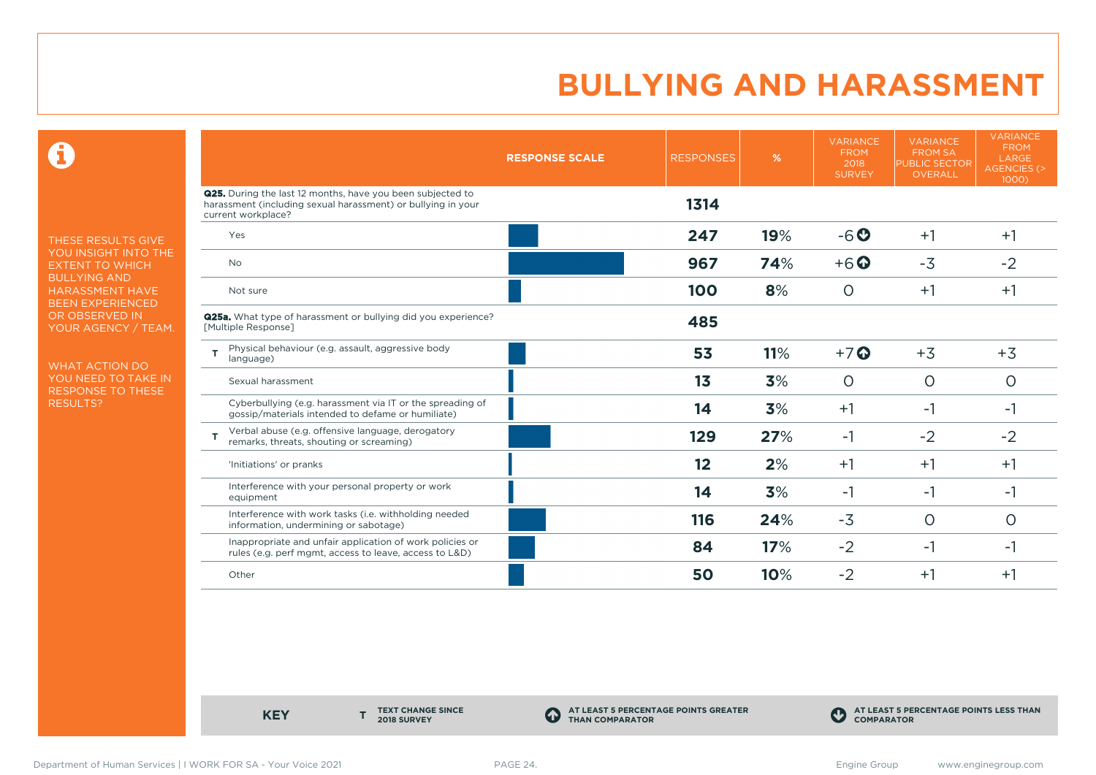$\mathbf \Theta$ 

THESE RESULTS GIVE YOU INSIGHT INTO THE EXTENT TO WHICH BULLYING AND HARASSMENT HAVE BEEN EXPERIENCED OR OBSERVED IN YOUR AGENCY / TEAM.

WHAT ACTION DO YOU NEED TO TAKE IN RESPONSE TO THESE RESULTS?

|                                                                                                                                                  | <b>RESPONSE SCALE</b> | <b>RESPONSES</b> | %   | <b>VARIANCE</b><br><b>FROM</b><br>2018<br><b>SURVEY</b> | <b>VARIANCE</b><br><b>FROM SA</b><br><b>PUBLIC SECTOR</b><br>OVERALL | <b>VARIANCE</b><br><b>FROM</b><br>LARGE<br><b>AGENCIES (&gt;</b><br>1000) |
|--------------------------------------------------------------------------------------------------------------------------------------------------|-----------------------|------------------|-----|---------------------------------------------------------|----------------------------------------------------------------------|---------------------------------------------------------------------------|
| Q25. During the last 12 months, have you been subjected to<br>harassment (including sexual harassment) or bullying in your<br>current workplace? |                       | 1314             |     |                                                         |                                                                      |                                                                           |
| Yes                                                                                                                                              |                       | 247              | 19% | $-6o$                                                   | $+1$                                                                 | $+1$                                                                      |
| No.                                                                                                                                              |                       | 967              | 74% | $+6$ $\odot$                                            | $-3$                                                                 | $-2$                                                                      |
| Not sure                                                                                                                                         |                       | 100              | 8%  | O                                                       | $+1$                                                                 | $+1$                                                                      |
| <b>Q25a.</b> What type of harassment or bullying did you experience?<br>[Multiple Response]                                                      |                       | 485              |     |                                                         |                                                                      |                                                                           |
| Physical behaviour (e.g. assault, aggressive body<br>т<br>language)                                                                              |                       | 53               | 11% | $+7$ $\odot$                                            | $+3$                                                                 | $+3$                                                                      |
| Sexual harassment                                                                                                                                |                       | 1 <sub>3</sub>   | 3%  | $\circ$                                                 | $\circ$                                                              | $\circ$                                                                   |
| Cyberbullying (e.g. harassment via IT or the spreading of<br>gossip/materials intended to defame or humiliate)                                   |                       | 14               | 3%  | $+1$                                                    | $-1$                                                                 | $-1$                                                                      |
| Verbal abuse (e.g. offensive language, derogatory<br>т<br>remarks, threats, shouting or screaming)                                               |                       | 129              | 27% | $-1$                                                    | $-2$                                                                 | $-2$                                                                      |
| 'Initiations' or pranks                                                                                                                          |                       | 12               | 2%  | $+1$                                                    | $+1$                                                                 | $+1$                                                                      |
| Interference with your personal property or work<br>equipment                                                                                    |                       | 14               | 3%  | $-1$                                                    | $-1$                                                                 | -1                                                                        |
| Interference with work tasks (i.e. withholding needed<br>information, undermining or sabotage)                                                   |                       | 116              | 24% | $-3$                                                    | $\circ$                                                              | O                                                                         |
| Inappropriate and unfair application of work policies or<br>rules (e.g. perf mgmt, access to leave, access to L&D)                               |                       | 84               | 17% | $-2$                                                    | $-1$                                                                 | $-1$                                                                      |
| Other                                                                                                                                            |                       | 50               | 10% | $-2$                                                    | $+1$                                                                 | $+1$                                                                      |

**KEY** 

**TEXT CHANGE SINCE 2018 SURVEY**

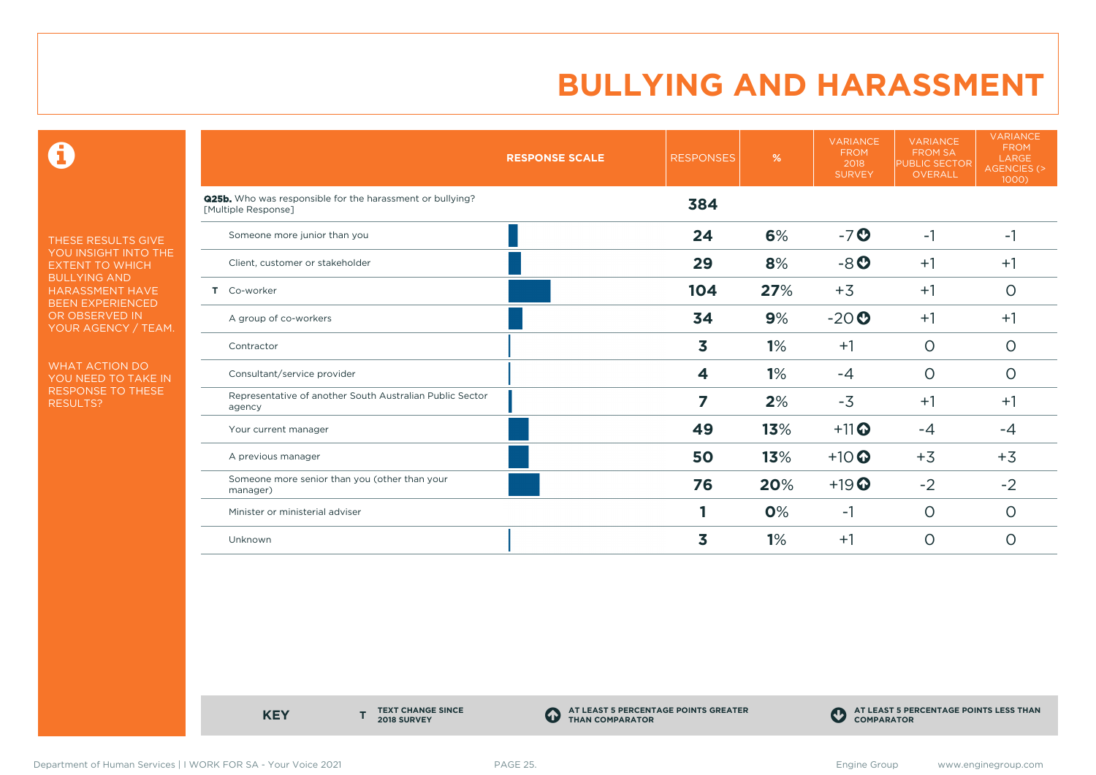$\mathbf \Theta$ 

THESE RESULTS GIVE YOU INSIGHT INTO THE EXTENT TO WHICH BULLYING AND HARASSMENT HAVE BEEN EXPERIENCED OR OBSERVED IN YOUR AGENCY / TEAM.

WHAT ACTION DO YOU NEED TO TAKE IN RESPONSE TO THESE RESULTS?

|                       |                                                                  | <b>RESPONSE SCALE</b> | <b>RESPONSES</b> | %   | <b>VARIANCE</b><br><b>FROM</b><br>2018<br><b>SURVEY</b> | <b>VARIANCE</b><br><b>FROM SA</b><br><b>PUBLIC SECTOR</b><br><b>OVERALL</b> | <b>VARIANCE</b><br><b>FROM</b><br><b>LARGE</b><br><b>AGENCIES (&gt;</b><br>1000) |
|-----------------------|------------------------------------------------------------------|-----------------------|------------------|-----|---------------------------------------------------------|-----------------------------------------------------------------------------|----------------------------------------------------------------------------------|
| [Multiple Response]   | <b>Q25b.</b> Who was responsible for the harassment or bullying? |                       | 384              |     |                                                         |                                                                             |                                                                                  |
|                       | Someone more junior than you                                     |                       | 24               | 6%  | $-7o$                                                   | $-1$                                                                        | $-1$                                                                             |
|                       | Client, customer or stakeholder                                  |                       | 29               | 8%  | $-8o$                                                   | $+1$                                                                        | $+1$                                                                             |
| Co-worker<br>Τ.       |                                                                  |                       | 104              | 27% | $+3$                                                    | $+1$                                                                        | $\circ$                                                                          |
| A group of co-workers |                                                                  |                       | 34               | 9%  | $-20o$                                                  | $+1$                                                                        | $+1$                                                                             |
| Contractor            |                                                                  |                       | 3                | 1%  | $+1$                                                    | $\circ$                                                                     | $\circ$                                                                          |
|                       | Consultant/service provider                                      |                       | 4                | 1%  | $-4$                                                    | $\circ$                                                                     | 0                                                                                |
| agency                | Representative of another South Australian Public Sector         |                       | 7                | 2%  | $-3$                                                    | $+1$                                                                        | $+1$                                                                             |
| Your current manager  |                                                                  |                       | 49               | 13% | $+11$ <sup>O</sup>                                      | $-4$                                                                        | $-4$                                                                             |
| A previous manager    |                                                                  |                       | 50               | 13% | $+10$ <sup>O</sup>                                      | $+3$                                                                        | $+3$                                                                             |
| manager)              | Someone more senior than you (other than your                    |                       | 76               | 20% | $+19$ <sup>O</sup>                                      | $-2$                                                                        | $-2$                                                                             |
|                       | Minister or ministerial adviser                                  |                       |                  | 0%  | $-1$                                                    | $\circ$                                                                     | $\circ$                                                                          |
| Unknown               |                                                                  |                       | 3                | 1%  | $+1$                                                    | $\circ$                                                                     | $\overline{O}$                                                                   |

**KEY** 

**TEXT CHANGE SINCE 2018 SURVEY**

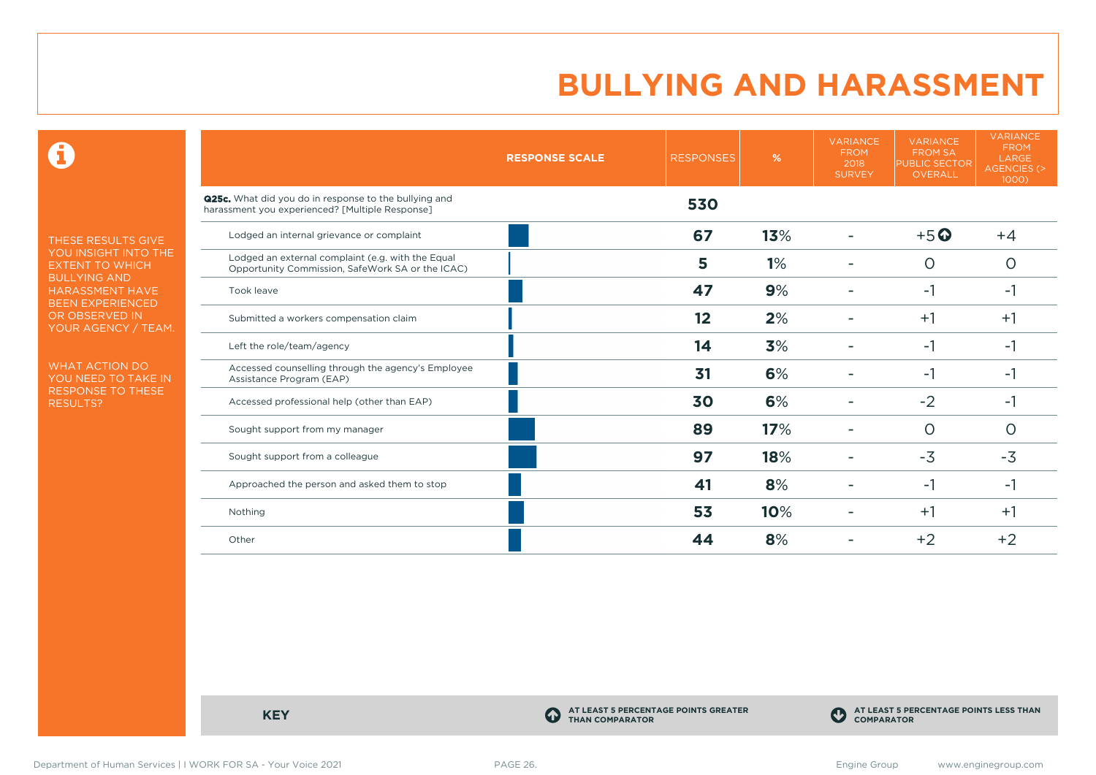$\mathbf \Theta$ 

THESE RESULTS GIVE YOU INSIGHT INTO THE EXTENT TO WHICH BULLYING AND HARASSMENT HAVE BEEN EXPERIENCED OR OBSERVED IN YOUR AGENCY / TEAM.

WHAT ACTION DO YOU NEED TO TAKE IN RESPONSE TO THESE RESULTS?

|                                                                                                                 | <b>RESPONSE SCALE</b> | <b>RESPONSES</b> | %   | <b>VARIANCE</b><br><b>FROM</b><br>2018<br><b>SURVEY</b> | <b>VARIANCE</b><br><b>FROM SA</b><br><b>PUBLIC SECTOR</b><br>OVERALL | <b>VARIANCE</b><br><b>FROM</b><br>LARGE<br><b>AGENCIES (&gt;</b><br>1000) |
|-----------------------------------------------------------------------------------------------------------------|-----------------------|------------------|-----|---------------------------------------------------------|----------------------------------------------------------------------|---------------------------------------------------------------------------|
| <b>Q25c.</b> What did you do in response to the bullying and<br>harassment you experienced? [Multiple Response] |                       | 530              |     |                                                         |                                                                      |                                                                           |
| Lodged an internal grievance or complaint                                                                       |                       | 67               | 13% |                                                         | $+5$ <sup>O</sup>                                                    | $+4$                                                                      |
| Lodged an external complaint (e.g. with the Equal<br>Opportunity Commission, SafeWork SA or the ICAC)           |                       | 5                | 1%  |                                                         | $\circ$                                                              | O                                                                         |
| Took leave                                                                                                      |                       | 47               | 9%  |                                                         | -1                                                                   | -1                                                                        |
| Submitted a workers compensation claim                                                                          |                       | 12               | 2%  |                                                         | $+1$                                                                 | $+1$                                                                      |
| Left the role/team/agency                                                                                       |                       | 14               | 3%  |                                                         | $-1$                                                                 | $-1$                                                                      |
| Accessed counselling through the agency's Employee<br>Assistance Program (EAP)                                  |                       | 31               | 6%  |                                                         | -1                                                                   | -1                                                                        |
| Accessed professional help (other than EAP)                                                                     |                       | 30               | 6%  |                                                         | $-2$                                                                 | $-1$                                                                      |
| Sought support from my manager                                                                                  |                       | 89               | 17% |                                                         | $\Omega$                                                             | O                                                                         |
| Sought support from a colleague                                                                                 |                       | 97               | 18% |                                                         | $-3$                                                                 | $-3$                                                                      |
| Approached the person and asked them to stop                                                                    |                       | 41               | 8%  |                                                         | $-1$                                                                 | -1                                                                        |
| Nothing                                                                                                         |                       | 53               | 10% |                                                         | $+1$                                                                 | $+1$                                                                      |
| Other                                                                                                           |                       | 44               | 8%  |                                                         | $+2$                                                                 | $+2$                                                                      |

**KEY C** 

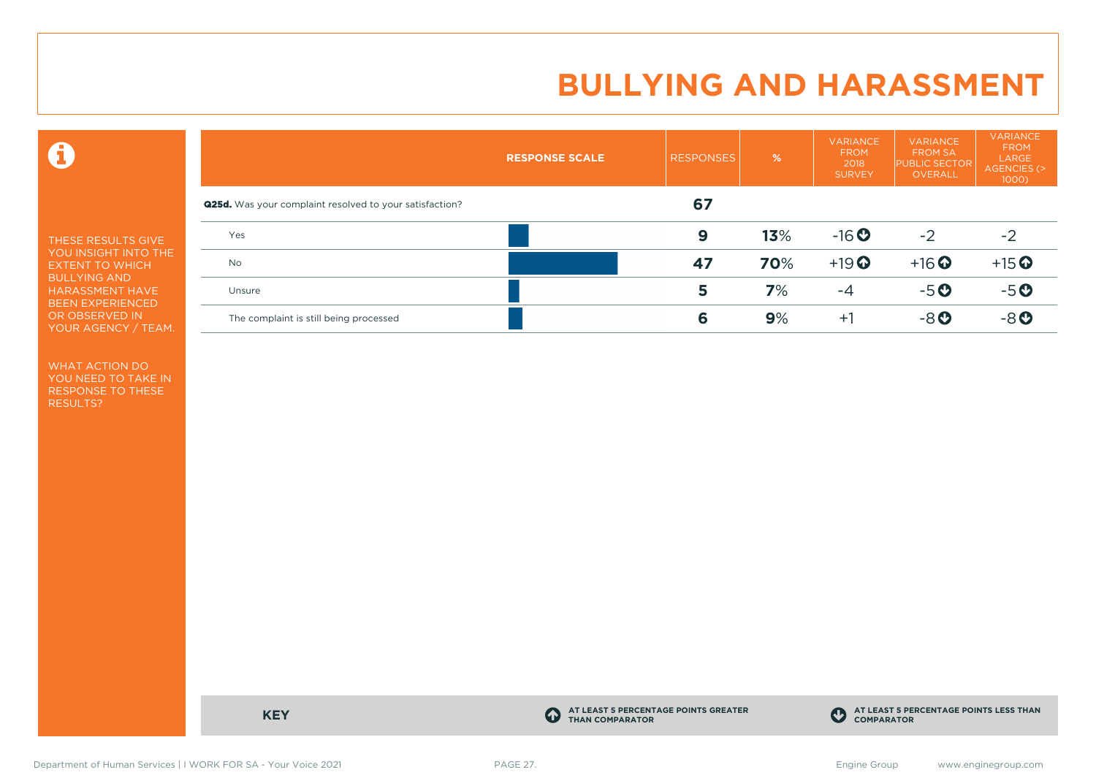$\mathbf \Theta$ 

THESE RESULTS GIVE YOU INSIGHT INTO THE EXTENT TO WHICH BULLYING AND HARASSMENT HAVE BEEN EXPERIENCED OR OBSERVED IN YOUR AGENCY / TEAM.

WHAT ACTION DO YOU NEED TO TAKE IN RESPONSE TO THESE RESULTS?

|                                                                | <b>RESPONSE SCALE</b> | <b>RESPONSES</b> | %   | <b>VARIANCE</b><br><b>FROM</b><br>2018<br><b>SURVEY</b> | <b>VARIANCE</b><br><b>FROM SA</b><br><b>PUBLIC SECTOR</b><br>OVERALL | <b>VARIANCE</b><br><b>FROM</b><br>LARGE<br>AGENCIES (><br>$1000$ ) |
|----------------------------------------------------------------|-----------------------|------------------|-----|---------------------------------------------------------|----------------------------------------------------------------------|--------------------------------------------------------------------|
| <b>Q25d.</b> Was your complaint resolved to your satisfaction? |                       | 67               |     |                                                         |                                                                      |                                                                    |
| Yes                                                            |                       | 9                | 13% | $-16$ <b>O</b>                                          | $-2$                                                                 | $-2$                                                               |
| <b>No</b>                                                      |                       | 47               | 70% | $+19$ <sup>O</sup>                                      | $+16$ <sup>O</sup>                                                   | $+15$ <sup>O</sup>                                                 |
| Unsure                                                         |                       | 5                | 7%  | $-4$                                                    | $-5o$                                                                | $-5o$                                                              |
| The complaint is still being processed                         |                       | 6                | 9%  | $+1$                                                    | $-8o$                                                                | $-8o$                                                              |

**KEY C** 

**AT LEAST 5 PERCENTAGE POINTS GREATER THAN COMPARATOR**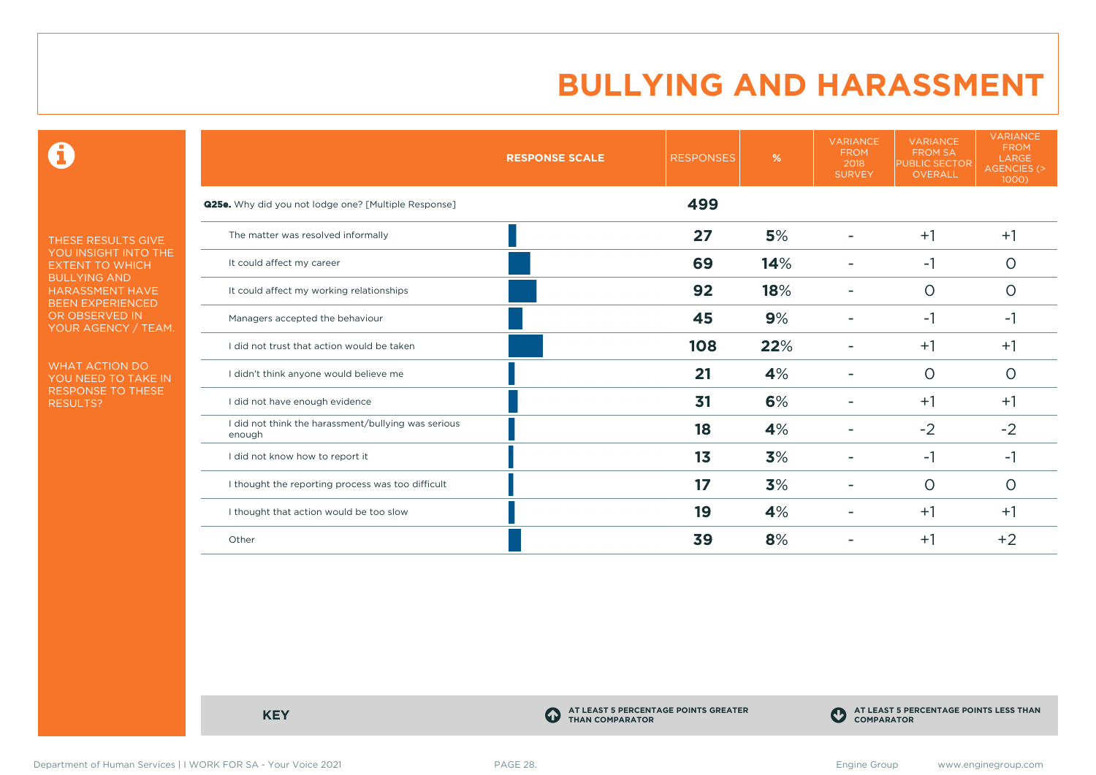$\mathbf \Theta$ 

THESE RESULTS GIVE YOU INSIGHT INTO THE EXTENT TO WHICH BULLYING AND HARASSMENT HAVE BEEN EXPERIENCED OR OBSERVED IN YOUR AGENCY / TEAM.

WHAT ACTION DO YOU NEED TO TAKE IN RESPONSE TO THESE RESULTS?

|                                                               | <b>RESPONSE SCALE</b> | <b>RESPONSES</b> | %   | <b>VARIANCE</b><br><b>FROM</b><br>2018<br><b>SURVEY</b> | <b>VARIANCE</b><br><b>FROM SA</b><br><b>PUBLIC SECTOR</b><br><b>OVERALL</b> | <b>VARIANCE</b><br><b>FROM</b><br>LARGE<br><b>AGENCIES (&gt;</b><br>1000) |
|---------------------------------------------------------------|-----------------------|------------------|-----|---------------------------------------------------------|-----------------------------------------------------------------------------|---------------------------------------------------------------------------|
| Q25e. Why did you not lodge one? [Multiple Response]          |                       | 499              |     |                                                         |                                                                             |                                                                           |
| The matter was resolved informally                            |                       | 27               | 5%  |                                                         | $+1$                                                                        | $+1$                                                                      |
| It could affect my career                                     |                       | 69               | 14% |                                                         | -1                                                                          | $\Omega$                                                                  |
| It could affect my working relationships                      |                       | 92               | 18% |                                                         | $\Omega$                                                                    | $\Omega$                                                                  |
| Managers accepted the behaviour                               |                       | 45               | 9%  |                                                         | -1                                                                          | -1                                                                        |
| I did not trust that action would be taken                    |                       | 108              | 22% |                                                         | $+1$                                                                        | $+1$                                                                      |
| I didn't think anyone would believe me                        |                       | 21               | 4%  |                                                         | $\circ$                                                                     | $\Omega$                                                                  |
| I did not have enough evidence                                |                       | 31               | 6%  |                                                         | $+1$                                                                        | $+1$                                                                      |
| I did not think the harassment/bullying was serious<br>enough |                       | 18               | 4%  |                                                         | $-2$                                                                        | $-2$                                                                      |
| I did not know how to report it                               |                       | 1 <sub>3</sub>   | 3%  |                                                         | -1                                                                          | -1                                                                        |
| I thought the reporting process was too difficult             |                       | 17               | 3%  |                                                         | $\Omega$                                                                    | $\Omega$                                                                  |
| I thought that action would be too slow                       |                       | 19               | 4%  |                                                         | $+1$                                                                        | $+1$                                                                      |
| Other                                                         |                       | 39               | 8%  |                                                         | $+1$                                                                        | $+2$                                                                      |

**KEY C** 

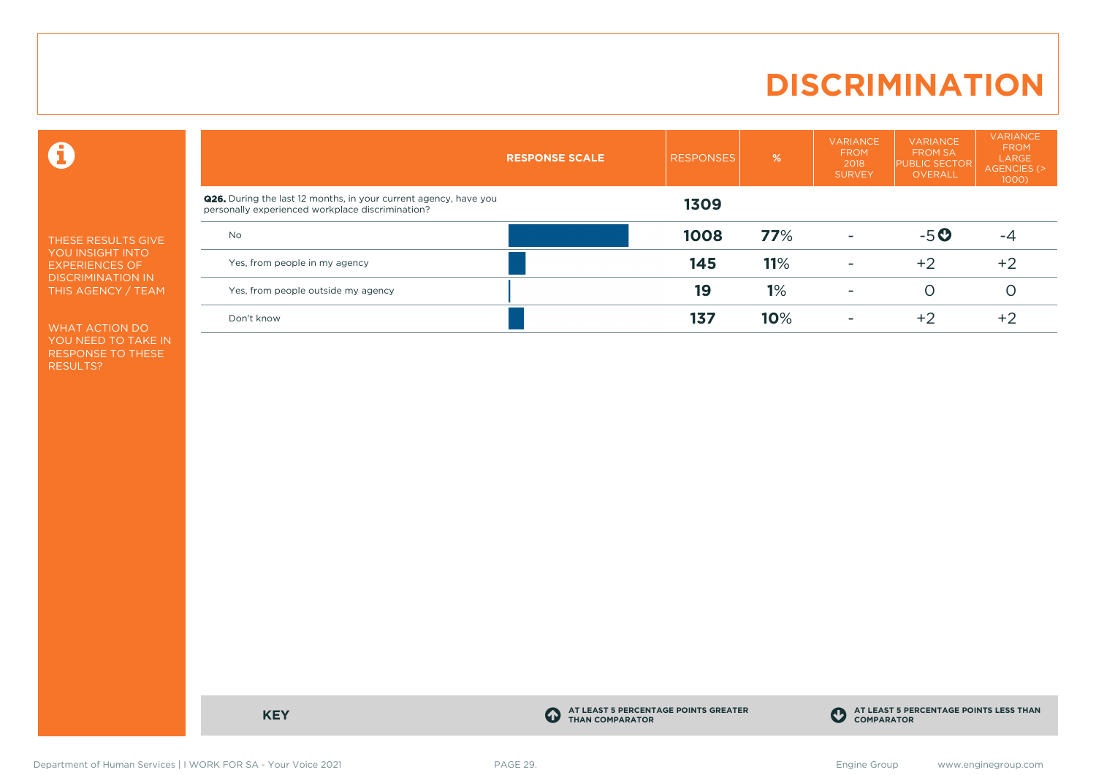### **DISCRIMINATION**

 $\mathbf \Theta$ 

THESE RESULTS GIVE YOU INSIGHT INTO EXPERIENCES OF DISCRIMINATION IN THIS AGENCY / TEAM

WHAT ACTION DO YOU NEED TO TAKE IN RESPONSE TO THESE RESULTS?

|                                                                                                                             | <b>RESPONSE SCALE</b> | <b>RESPONSES</b> | $\frac{9}{6}$ | <b>VARIANCE</b><br><b>FROM</b><br>2018<br><b>SURVEY</b> | <b>VARIANCE</b><br><b>FROM SA</b><br><b>PUBLIC SECTOR</b><br>OVERALL | <b>VARIANCE</b><br><b>FROM</b><br>LARGE<br>AGENCIES (><br>$1000$ ) |
|-----------------------------------------------------------------------------------------------------------------------------|-----------------------|------------------|---------------|---------------------------------------------------------|----------------------------------------------------------------------|--------------------------------------------------------------------|
| <b>Q26.</b> During the last 12 months, in your current agency, have you<br>personally experienced workplace discrimination? |                       | 1309             |               |                                                         |                                                                      |                                                                    |
| <b>No</b>                                                                                                                   |                       | 1008             | 77%           |                                                         | $-5o$                                                                | -4                                                                 |
| Yes, from people in my agency                                                                                               |                       | 145              | 11%           | $\overline{\phantom{a}}$                                | $+2$                                                                 | $+2$                                                               |
| Yes, from people outside my agency                                                                                          |                       | 19               | 1%            | $\overline{\phantom{a}}$                                |                                                                      |                                                                    |
| Don't know                                                                                                                  |                       | 137              | 10%           |                                                         | $+2$                                                                 | $+2$                                                               |

**KEY C** 

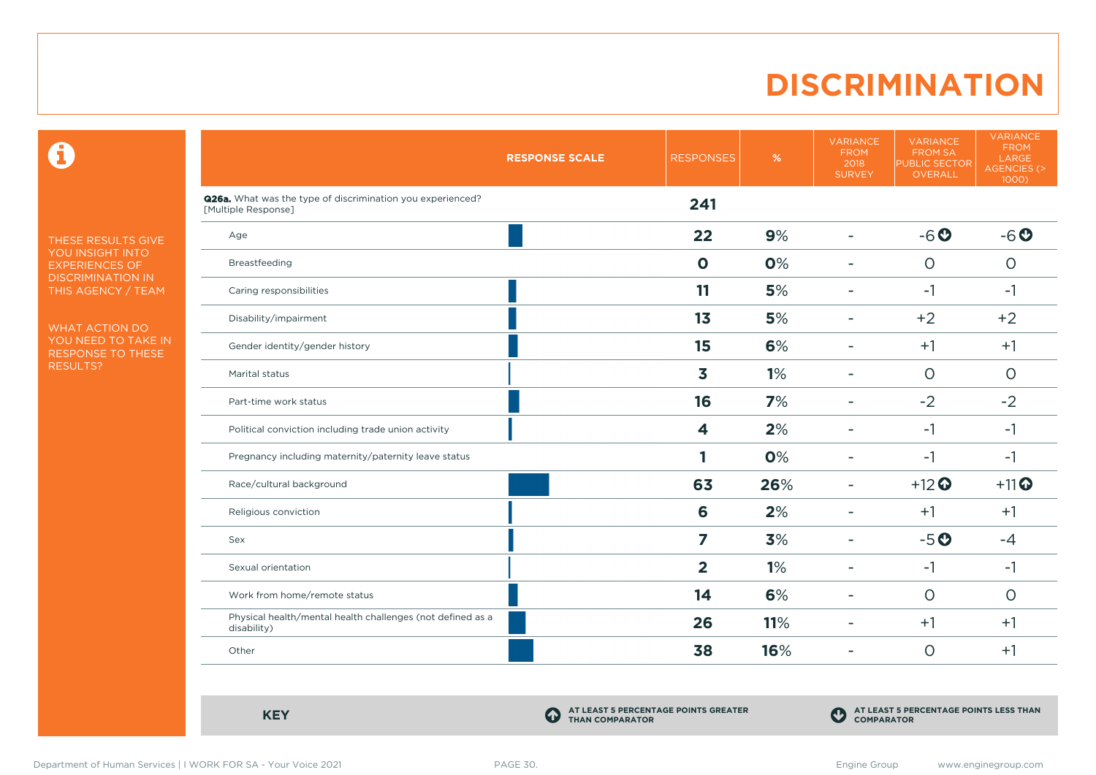### **DISCRIMINATION**

 $\mathbf \Theta$ 

THESE RESULTS GIVE YOU INSIGHT INTO EXPERIENCES OF DISCRIMINATION IN THIS AGENCY / TEAM

WHAT ACTION DO YOU NEED TO TAKE IN RESPONSE TO THESE RESULTS?

|                                                                                   | <b>RESPONSE SCALE</b> | <b>RESPONSES</b> | $\%$ | <b>VARIANCE</b><br><b>FROM</b><br>2018<br><b>SURVEY</b> | <b>VARIANCE</b><br><b>FROM SA</b><br><b>PUBLIC SECTOR</b><br><b>OVERALL</b> | <b>VARIANCE</b><br><b>FROM</b><br>LARGE<br>AGENCIES (><br>1000) |
|-----------------------------------------------------------------------------------|-----------------------|------------------|------|---------------------------------------------------------|-----------------------------------------------------------------------------|-----------------------------------------------------------------|
| Q26a. What was the type of discrimination you experienced?<br>[Multiple Response] |                       | 241              |      |                                                         |                                                                             |                                                                 |
| Age                                                                               |                       | 22               | 9%   | $\blacksquare$                                          | $-6o$                                                                       | $-6o$                                                           |
| Breastfeeding                                                                     |                       | $\mathbf 0$      | 0%   | $\blacksquare$                                          | $\circ$                                                                     | $\circ$                                                         |
| Caring responsibilities                                                           |                       | 11               | 5%   | ۰                                                       | $-1$                                                                        | $-1$                                                            |
| Disability/impairment                                                             |                       | 13               | 5%   | ۰                                                       | $+2$                                                                        | $+2$                                                            |
| Gender identity/gender history                                                    |                       | 15               | 6%   |                                                         | $+1$                                                                        | $+1$                                                            |
| Marital status                                                                    |                       | 3                | 1%   |                                                         | $\circ$                                                                     | $\circ$                                                         |
| Part-time work status                                                             |                       | 16               | 7%   |                                                         | $-2$                                                                        | $-2$                                                            |
| Political conviction including trade union activity                               |                       | 4                | 2%   | ÷                                                       | $-1$                                                                        | $-1$                                                            |
| Pregnancy including maternity/paternity leave status                              |                       |                  | 0%   |                                                         | $-1$                                                                        | $-1$                                                            |
| Race/cultural background                                                          |                       | 63               | 26%  | ۰                                                       | $+12$ <sup>O</sup>                                                          | $+11$ <sup>O</sup>                                              |
| Religious conviction                                                              |                       | 6                | 2%   | $\overline{\phantom{a}}$                                | $+1$                                                                        | $+1$                                                            |
| Sex                                                                               |                       | 7                | 3%   | ÷                                                       | $-5o$                                                                       | $-4$                                                            |
| Sexual orientation                                                                |                       | $\overline{2}$   | 1%   | ۰                                                       | $-1$                                                                        | $-1$                                                            |
| Work from home/remote status                                                      |                       | 14               | 6%   | ÷                                                       | $\circ$                                                                     | $\circ$                                                         |
| Physical health/mental health challenges (not defined as a<br>disability)         |                       | 26               | 11%  | $\blacksquare$                                          | $+1$                                                                        | $+1$                                                            |
| Other                                                                             |                       | 38               | 16%  | ÷                                                       | $\circ$                                                                     | $+1$                                                            |

**KEY C** 

**AT LEAST 5 PERCENTAGE POINTS GREATER THAN COMPARATOR**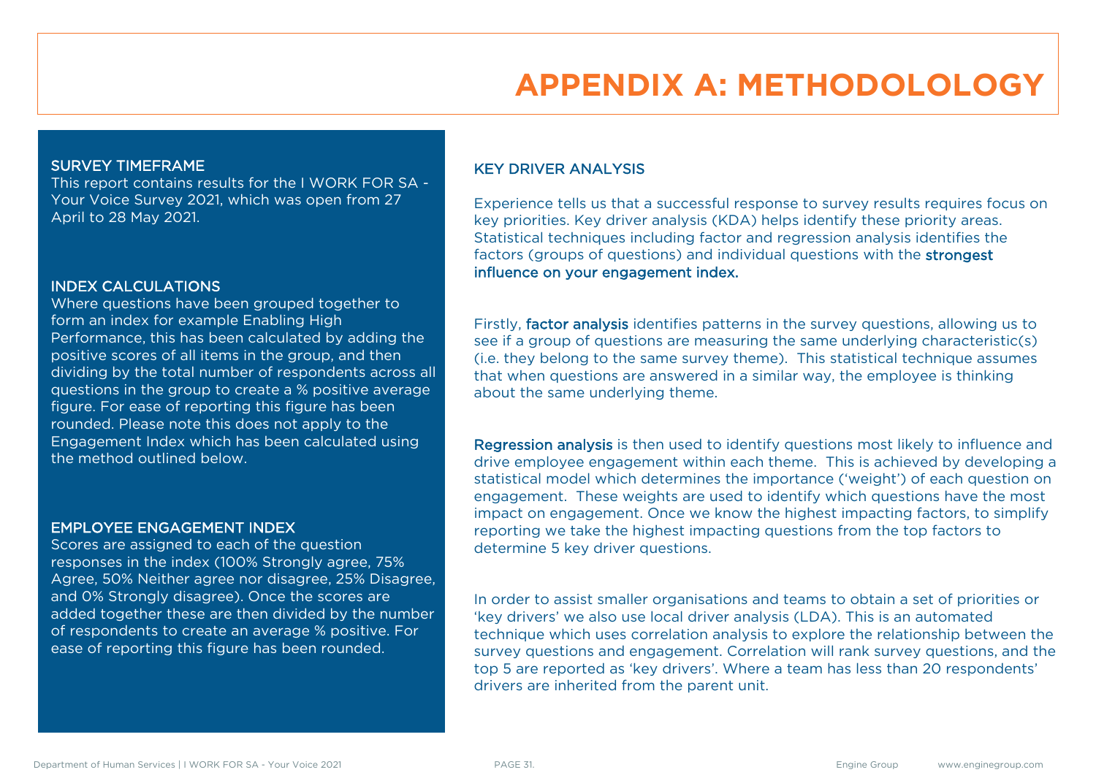# **APPENDIX A: METHODOLOLOGY**

#### SURVEY TIMEFRAME

This report contains results for the I WORK FOR SA - Your Voice Survey 2021, which was open from 27 April to 28 May 2021.

#### INDEX CALCULATIONS

Where questions have been grouped together to form an index for example Enabling High Performance, this has been calculated by adding the positive scores of all items in the group, and then dividing by the total number of respondents across all questions in the group to create a % positive average figure. For ease of reporting this figure has been rounded. Please note this does not apply to the Engagement Index which has been calculated using the method outlined below.

#### EMPLOYEE ENGAGEMENT INDEX

Scores are assigned to each of the question responses in the index (100% Strongly agree, 75% Agree, 50% Neither agree nor disagree, 25% Disagree, and 0% Strongly disagree). Once the scores are added together these are then divided by the number of respondents to create an average % positive. For ease of reporting this figure has been rounded.

#### KEY DRIVER ANALYSIS

Experience tells us that a successful response to survey results requires focus on key priorities. Key driver analysis (KDA) helps identify these priority areas. Statistical techniques including factor and regression analysis identifies the factors (groups of questions) and individual questions with the strongest influence on your engagement index.

Firstly, factor analysis identifies patterns in the survey questions, allowing us to see if a group of questions are measuring the same underlying characteristic(s) (i.e. they belong to the same survey theme). This statistical technique assumes that when questions are answered in a similar way, the employee is thinking about the same underlying theme.

Regression analysis is then used to identify questions most likely to influence and drive employee engagement within each theme. This is achieved by developing a statistical model which determines the importance ('weight') of each question on engagement. These weights are used to identify which questions have the most impact on engagement. Once we know the highest impacting factors, to simplify reporting we take the highest impacting questions from the top factors to determine 5 key driver questions.

In order to assist smaller organisations and teams to obtain a set of priorities or 'key drivers' we also use local driver analysis (LDA). This is an automated technique which uses correlation analysis to explore the relationship between the survey questions and engagement. Correlation will rank survey questions, and the top 5 are reported as 'key drivers'. Where a team has less than 20 respondents' drivers are inherited from the parent unit.